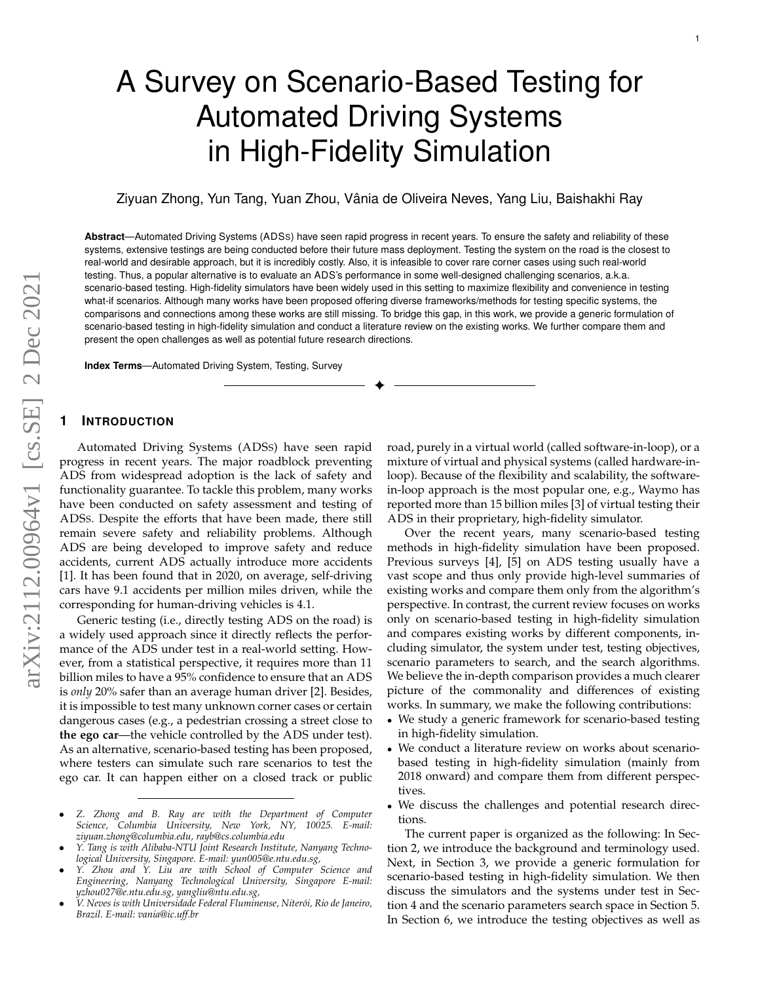# A Survey on Scenario-Based Testing for Automated Driving Systems in High-Fidelity Simulation

Ziyuan Zhong, Yun Tang, Yuan Zhou, Vania de Oliveira Neves, Yang Liu, Baishakhi Ray ˆ

**Abstract**—Automated Driving Systems (ADSS) have seen rapid progress in recent years. To ensure the safety and reliability of these systems, extensive testings are being conducted before their future mass deployment. Testing the system on the road is the closest to real-world and desirable approach, but it is incredibly costly. Also, it is infeasible to cover rare corner cases using such real-world testing. Thus, a popular alternative is to evaluate an ADS's performance in some well-designed challenging scenarios, a.k.a. scenario-based testing. High-fidelity simulators have been widely used in this setting to maximize flexibility and convenience in testing what-if scenarios. Although many works have been proposed offering diverse frameworks/methods for testing specific systems, the comparisons and connections among these works are still missing. To bridge this gap, in this work, we provide a generic formulation of scenario-based testing in high-fidelity simulation and conduct a literature review on the existing works. We further compare them and present the open challenges as well as potential future research directions.

✦

**Index Terms**—Automated Driving System, Testing, Survey

## **1 INTRODUCTION**

Automated Driving Systems (ADSS) have seen rapid progress in recent years. The major roadblock preventing ADS from widespread adoption is the lack of safety and functionality guarantee. To tackle this problem, many works have been conducted on safety assessment and testing of ADSS. Despite the efforts that have been made, there still remain severe safety and reliability problems. Although ADS are being developed to improve safety and reduce accidents, current ADS actually introduce more accidents [1]. It has been found that in 2020, on average, self-driving cars have 9.1 accidents per million miles driven, while the corresponding for human-driving vehicles is 4.1.

Generic testing (i.e., directly testing ADS on the road) is a widely used approach since it directly reflects the performance of the ADS under test in a real-world setting. However, from a statistical perspective, it requires more than 11 billion miles to have a 95% confidence to ensure that an ADS is *only* 20% safer than an average human driver [2]. Besides, it is impossible to test many unknown corner cases or certain dangerous cases (e.g., a pedestrian crossing a street close to **the ego car**—the vehicle controlled by the ADS under test). As an alternative, scenario-based testing has been proposed, where testers can simulate such rare scenarios to test the ego car. It can happen either on a closed track or public

- *Z. Zhong and B. Ray are with the Department of Computer Science, Columbia University, New York, NY, 10025. E-mail: ziyuan.zhong@columbia.edu, rayb@cs.columbia.edu*
- *Y. Tang is with Alibaba-NTU Joint Research Institute, Nanyang Technological University, Singapore. E-mail: yun005@e.ntu.edu.sg,*
- *Y. Zhou and Y. Liu are with School of Computer Science and Engineering, Nanyang Technological University, Singapore E-mail: yzhou027@e.ntu.edu.sg, yangliu@ntu.edu.sg,*
- *V. Neves is with Universidade Federal Fluminense, Niter´oi, Rio de Janeiro, Brazil. E-mail: vania@ic.uff.br*

road, purely in a virtual world (called software-in-loop), or a mixture of virtual and physical systems (called hardware-inloop). Because of the flexibility and scalability, the softwarein-loop approach is the most popular one, e.g., Waymo has reported more than 15 billion miles [3] of virtual testing their ADS in their proprietary, high-fidelity simulator.

Over the recent years, many scenario-based testing methods in high-fidelity simulation have been proposed. Previous surveys [4], [5] on ADS testing usually have a vast scope and thus only provide high-level summaries of existing works and compare them only from the algorithm's perspective. In contrast, the current review focuses on works only on scenario-based testing in high-fidelity simulation and compares existing works by different components, including simulator, the system under test, testing objectives, scenario parameters to search, and the search algorithms. We believe the in-depth comparison provides a much clearer picture of the commonality and differences of existing works. In summary, we make the following contributions:

- We study a generic framework for scenario-based testing in high-fidelity simulation.
- We conduct a literature review on works about scenariobased testing in high-fidelity simulation (mainly from 2018 onward) and compare them from different perspectives.
- We discuss the challenges and potential research directions.

The current paper is organized as the following: In Section 2, we introduce the background and terminology used. Next, in Section 3, we provide a generic formulation for scenario-based testing in high-fidelity simulation. We then discuss the simulators and the systems under test in Section 4 and the scenario parameters search space in Section 5. In Section 6, we introduce the testing objectives as well as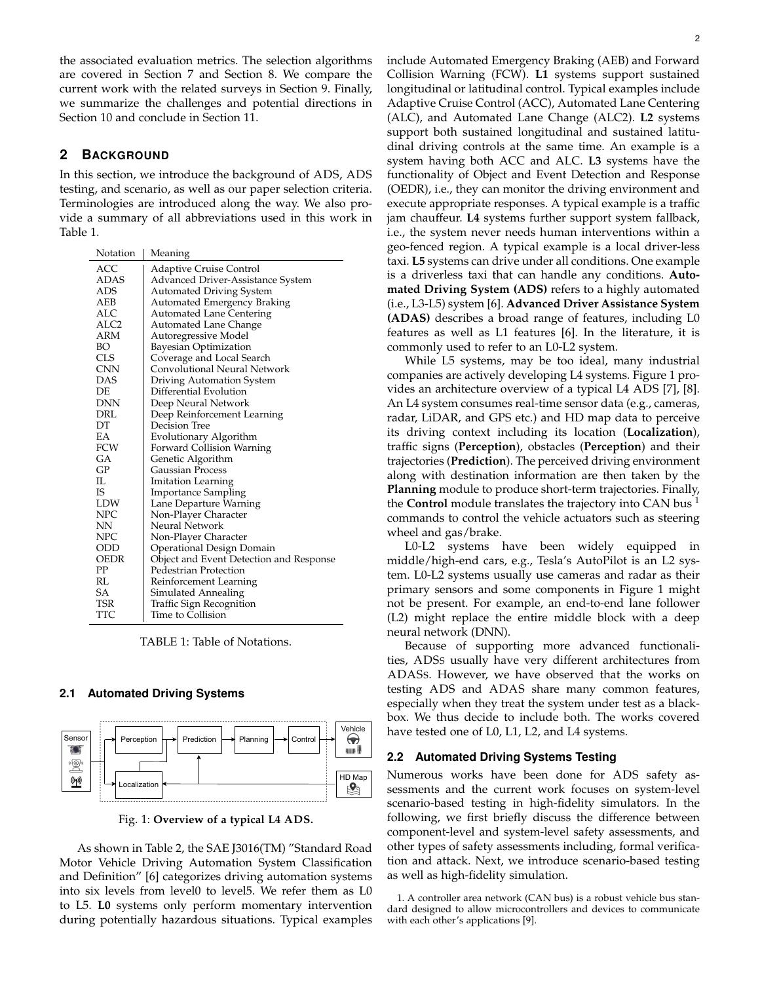the associated evaluation metrics. The selection algorithms are covered in Section 7 and Section 8. We compare the current work with the related surveys in Section 9. Finally, we summarize the challenges and potential directions in Section 10 and conclude in Section 11.

## **2 BACKGROUND**

In this section, we introduce the background of ADS, ADS testing, and scenario, as well as our paper selection criteria. Terminologies are introduced along the way. We also provide a summary of all abbreviations used in this work in Table 1.

| Notation    | Meaning                                 |
|-------------|-----------------------------------------|
| ACC         | Adaptive Cruise Control                 |
| ADAS        | Advanced Driver-Assistance System       |
| ADS         | <b>Automated Driving System</b>         |
| AEB         | Automated Emergency Braking             |
| ALC         | <b>Automated Lane Centering</b>         |
| ALC2        | Automated Lane Change                   |
| ARM         | Autoregressive Model                    |
| BО          | Bayesian Optimization                   |
| CLS         | Coverage and Local Search               |
| CNN         | Convolutional Neural Network            |
| DAS         | Driving Automation System               |
| DE          | Differential Evolution                  |
| <b>DNN</b>  | Deep Neural Network                     |
| DRL         | Deep Reinforcement Learning             |
| DТ          | Decision Tree                           |
| ЕA          | Evolutionary Algorithm                  |
| FCW         | Forward Collision Warning               |
| GА          | Genetic Algorithm                       |
| GP          | <b>Gaussian Process</b>                 |
| IL          | Imitation Learning                      |
| IS          | <b>Importance Sampling</b>              |
| <b>LDW</b>  | Lane Departure Warning                  |
| NPC         | Non-Player Character                    |
| NΝ          | Neural Network                          |
| NPC         | Non-Player Character                    |
| ODD         | Operational Design Domain               |
| OEDR        | Object and Event Detection and Response |
| $_{\rm PP}$ | Pedestrian Protection                   |
| RL          | Reinforcement Learning                  |
| SА          | Simulated Annealing                     |
| TSR         | Traffic Sign Recognition                |
| TTC         | Time to Collision                       |

TABLE 1: Table of Notations.

#### **2.1 Automated Driving Systems**



Fig. 1: **Overview of a typical L4 ADS.**

As shown in Table 2, the SAE J3016(TM) "Standard Road Motor Vehicle Driving Automation System Classification and Definition" [6] categorizes driving automation systems into six levels from level0 to level5. We refer them as L0 to L5. **L0** systems only perform momentary intervention during potentially hazardous situations. Typical examples include Automated Emergency Braking (AEB) and Forward Collision Warning (FCW). **L1** systems support sustained longitudinal or latitudinal control. Typical examples include Adaptive Cruise Control (ACC), Automated Lane Centering (ALC), and Automated Lane Change (ALC2). **L2** systems support both sustained longitudinal and sustained latitudinal driving controls at the same time. An example is a system having both ACC and ALC. **L3** systems have the functionality of Object and Event Detection and Response (OEDR), i.e., they can monitor the driving environment and execute appropriate responses. A typical example is a traffic jam chauffeur. **L4** systems further support system fallback, i.e., the system never needs human interventions within a geo-fenced region. A typical example is a local driver-less taxi. **L5** systems can drive under all conditions. One example is a driverless taxi that can handle any conditions. **Automated Driving System (ADS)** refers to a highly automated (i.e., L3-L5) system [6]. **Advanced Driver Assistance System (ADAS)** describes a broad range of features, including L0 features as well as L1 features [6]. In the literature, it is commonly used to refer to an L0-L2 system.

While L5 systems, may be too ideal, many industrial companies are actively developing L4 systems. Figure 1 provides an architecture overview of a typical L4 ADS [7], [8]. An L4 system consumes real-time sensor data (e.g., cameras, radar, LiDAR, and GPS etc.) and HD map data to perceive its driving context including its location (**Localization**), traffic signs (**Perception**), obstacles (**Perception**) and their trajectories (**Prediction**). The perceived driving environment along with destination information are then taken by the **Planning** module to produce short-term trajectories. Finally, the **Control** module translates the trajectory into CAN bus <sup>1</sup> commands to control the vehicle actuators such as steering wheel and gas/brake.

L0-L2 systems have been widely equipped in middle/high-end cars, e.g., Tesla's AutoPilot is an L2 system. L0-L2 systems usually use cameras and radar as their primary sensors and some components in Figure 1 might not be present. For example, an end-to-end lane follower (L2) might replace the entire middle block with a deep neural network (DNN).

Because of supporting more advanced functionalities, ADSS usually have very different architectures from ADASS. However, we have observed that the works on testing ADS and ADAS share many common features, especially when they treat the system under test as a blackbox. We thus decide to include both. The works covered have tested one of L0, L1, L2, and L4 systems.

#### **2.2 Automated Driving Systems Testing**

Numerous works have been done for ADS safety assessments and the current work focuses on system-level scenario-based testing in high-fidelity simulators. In the following, we first briefly discuss the difference between component-level and system-level safety assessments, and other types of safety assessments including, formal verification and attack. Next, we introduce scenario-based testing as well as high-fidelity simulation.

1. A controller area network (CAN bus) is a robust vehicle bus standard designed to allow microcontrollers and devices to communicate with each other's applications [9].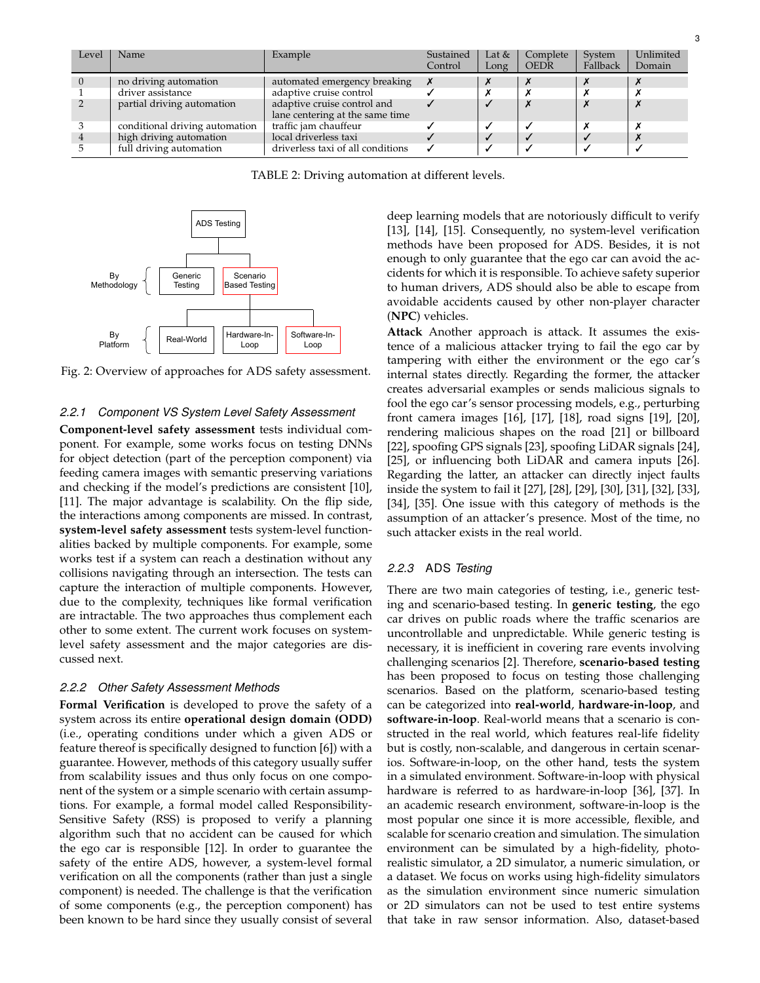| Level | Name                           | Example                                                        | Sustained<br>Control | Lat $&$<br>Long | Complete<br><b>OEDR</b> | System<br>Fallback | Unlimited<br>Domain |
|-------|--------------------------------|----------------------------------------------------------------|----------------------|-----------------|-------------------------|--------------------|---------------------|
|       | no driving automation          | automated emergency breaking                                   |                      |                 |                         |                    |                     |
|       | driver assistance              | adaptive cruise control                                        |                      |                 |                         | х                  |                     |
|       | partial driving automation     | adaptive cruise control and<br>lane centering at the same time |                      | $\checkmark$    |                         | $\boldsymbol{x}$   |                     |
|       | conditional driving automation | traffic jam chauffeur                                          |                      |                 |                         | х                  |                     |
|       | high driving automation        | local driverless taxi                                          |                      |                 |                         |                    |                     |
|       | full driving automation        | driverless taxi of all conditions                              |                      |                 |                         |                    |                     |

TABLE 2: Driving automation at different levels.



Fig. 2: Overview of approaches for ADS safety assessment.

#### *2.2.1 Component VS System Level Safety Assessment*

**Component-level safety assessment** tests individual component. For example, some works focus on testing DNNs for object detection (part of the perception component) via feeding camera images with semantic preserving variations and checking if the model's predictions are consistent [10], [11]. The major advantage is scalability. On the flip side, the interactions among components are missed. In contrast, **system-level safety assessment** tests system-level functionalities backed by multiple components. For example, some works test if a system can reach a destination without any collisions navigating through an intersection. The tests can capture the interaction of multiple components. However, due to the complexity, techniques like formal verification are intractable. The two approaches thus complement each other to some extent. The current work focuses on systemlevel safety assessment and the major categories are discussed next.

#### *2.2.2 Other Safety Assessment Methods*

**Formal Verification** is developed to prove the safety of a system across its entire **operational design domain (ODD)** (i.e., operating conditions under which a given ADS or feature thereof is specifically designed to function [6]) with a guarantee. However, methods of this category usually suffer from scalability issues and thus only focus on one component of the system or a simple scenario with certain assumptions. For example, a formal model called Responsibility-Sensitive Safety (RSS) is proposed to verify a planning algorithm such that no accident can be caused for which the ego car is responsible [12]. In order to guarantee the safety of the entire ADS, however, a system-level formal verification on all the components (rather than just a single component) is needed. The challenge is that the verification of some components (e.g., the perception component) has been known to be hard since they usually consist of several deep learning models that are notoriously difficult to verify [13], [14], [15]. Consequently, no system-level verification methods have been proposed for ADS. Besides, it is not enough to only guarantee that the ego car can avoid the accidents for which it is responsible. To achieve safety superior to human drivers, ADS should also be able to escape from avoidable accidents caused by other non-player character (**NPC**) vehicles.

**Attack** Another approach is attack. It assumes the existence of a malicious attacker trying to fail the ego car by tampering with either the environment or the ego car's internal states directly. Regarding the former, the attacker creates adversarial examples or sends malicious signals to fool the ego car's sensor processing models, e.g., perturbing front camera images [16], [17], [18], road signs [19], [20], rendering malicious shapes on the road [21] or billboard [22], spoofing GPS signals [23], spoofing LiDAR signals [24], [25], or influencing both LiDAR and camera inputs [26]. Regarding the latter, an attacker can directly inject faults inside the system to fail it [27], [28], [29], [30], [31], [32], [33], [34], [35]. One issue with this category of methods is the assumption of an attacker's presence. Most of the time, no such attacker exists in the real world.

#### *2.2.3* ADS *Testing*

There are two main categories of testing, i.e., generic testing and scenario-based testing. In **generic testing**, the ego car drives on public roads where the traffic scenarios are uncontrollable and unpredictable. While generic testing is necessary, it is inefficient in covering rare events involving challenging scenarios [2]. Therefore, **scenario-based testing** has been proposed to focus on testing those challenging scenarios. Based on the platform, scenario-based testing can be categorized into **real-world**, **hardware-in-loop**, and **software-in-loop**. Real-world means that a scenario is constructed in the real world, which features real-life fidelity but is costly, non-scalable, and dangerous in certain scenarios. Software-in-loop, on the other hand, tests the system in a simulated environment. Software-in-loop with physical hardware is referred to as hardware-in-loop [36], [37]. In an academic research environment, software-in-loop is the most popular one since it is more accessible, flexible, and scalable for scenario creation and simulation. The simulation environment can be simulated by a high-fidelity, photorealistic simulator, a 2D simulator, a numeric simulation, or a dataset. We focus on works using high-fidelity simulators as the simulation environment since numeric simulation or 2D simulators can not be used to test entire systems that take in raw sensor information. Also, dataset-based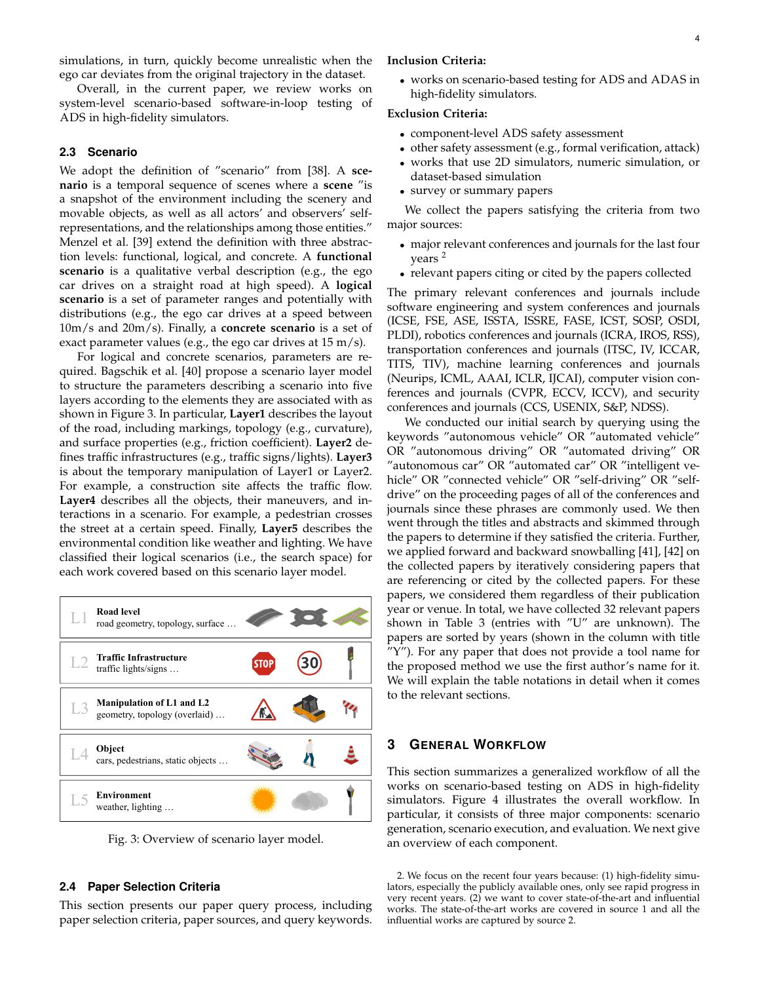simulations, in turn, quickly become unrealistic when the ego car deviates from the original trajectory in the dataset.

Overall, in the current paper, we review works on system-level scenario-based software-in-loop testing of ADS in high-fidelity simulators.

#### **2.3 Scenario**

We adopt the definition of "scenario" from [38]. A **scenario** is a temporal sequence of scenes where a **scene** "is a snapshot of the environment including the scenery and movable objects, as well as all actors' and observers' selfrepresentations, and the relationships among those entities." Menzel et al. [39] extend the definition with three abstraction levels: functional, logical, and concrete. A **functional scenario** is a qualitative verbal description (e.g., the ego car drives on a straight road at high speed). A **logical scenario** is a set of parameter ranges and potentially with distributions (e.g., the ego car drives at a speed between 10m/s and 20m/s). Finally, a **concrete scenario** is a set of exact parameter values (e.g., the ego car drives at 15 m/s).

For logical and concrete scenarios, parameters are required. Bagschik et al. [40] propose a scenario layer model to structure the parameters describing a scenario into five layers according to the elements they are associated with as shown in Figure 3. In particular, **Layer1** describes the layout of the road, including markings, topology (e.g., curvature), and surface properties (e.g., friction coefficient). **Layer2** defines traffic infrastructures (e.g., traffic signs/lights). **Layer3** is about the temporary manipulation of Layer1 or Layer2. For example, a construction site affects the traffic flow. **Layer4** describes all the objects, their maneuvers, and interactions in a scenario. For example, a pedestrian crosses the street at a certain speed. Finally, **Layer5** describes the environmental condition like weather and lighting. We have classified their logical scenarios (i.e., the search space) for each work covered based on this scenario layer model.

## L1 **Road level** road geometry, topology, surface … L2 **Traffic Infrastructure** 30 STOF traffic lights/signs …  $\frac{1}{4}$ L3 **Manipulation of L1 and L2** geometry, topology (overlaid) … L4 **Object** å cars, pedestrians, static objects … L5 **Environment** weather, lighting …

Fig. 3: Overview of scenario layer model.

#### **2.4 Paper Selection Criteria**

This section presents our paper query process, including paper selection criteria, paper sources, and query keywords.

#### **Inclusion Criteria:**

• works on scenario-based testing for ADS and ADAS in high-fidelity simulators.

#### **Exclusion Criteria:**

- component-level ADS safety assessment
- other safety assessment (e.g., formal verification, attack)
- works that use 2D simulators, numeric simulation, or dataset-based simulation
- survey or summary papers

We collect the papers satisfying the criteria from two major sources:

- major relevant conferences and journals for the last four years <sup>2</sup>
- relevant papers citing or cited by the papers collected

The primary relevant conferences and journals include software engineering and system conferences and journals (ICSE, FSE, ASE, ISSTA, ISSRE, FASE, ICST, SOSP, OSDI, PLDI), robotics conferences and journals (ICRA, IROS, RSS), transportation conferences and journals (ITSC, IV, ICCAR, TITS, TIV), machine learning conferences and journals (Neurips, ICML, AAAI, ICLR, IJCAI), computer vision conferences and journals (CVPR, ECCV, ICCV), and security conferences and journals (CCS, USENIX, S&P, NDSS).

We conducted our initial search by querying using the keywords "autonomous vehicle" OR "automated vehicle" OR "autonomous driving" OR "automated driving" OR "autonomous car" OR "automated car" OR "intelligent vehicle" OR "connected vehicle" OR "self-driving" OR "selfdrive" on the proceeding pages of all of the conferences and journals since these phrases are commonly used. We then went through the titles and abstracts and skimmed through the papers to determine if they satisfied the criteria. Further, we applied forward and backward snowballing [41], [42] on the collected papers by iteratively considering papers that are referencing or cited by the collected papers. For these papers, we considered them regardless of their publication year or venue. In total, we have collected 32 relevant papers shown in Table 3 (entries with "U" are unknown). The papers are sorted by years (shown in the column with title "Y"). For any paper that does not provide a tool name for the proposed method we use the first author's name for it. We will explain the table notations in detail when it comes to the relevant sections.

## **3 GENERAL WORKFLOW**

This section summarizes a generalized workflow of all the works on scenario-based testing on ADS in high-fidelity simulators. Figure 4 illustrates the overall workflow. In particular, it consists of three major components: scenario generation, scenario execution, and evaluation. We next give an overview of each component.

<sup>2.</sup> We focus on the recent four years because: (1) high-fidelity simulators, especially the publicly available ones, only see rapid progress in very recent years. (2) we want to cover state-of-the-art and influential works. The state-of-the-art works are covered in source 1 and all the influential works are captured by source 2.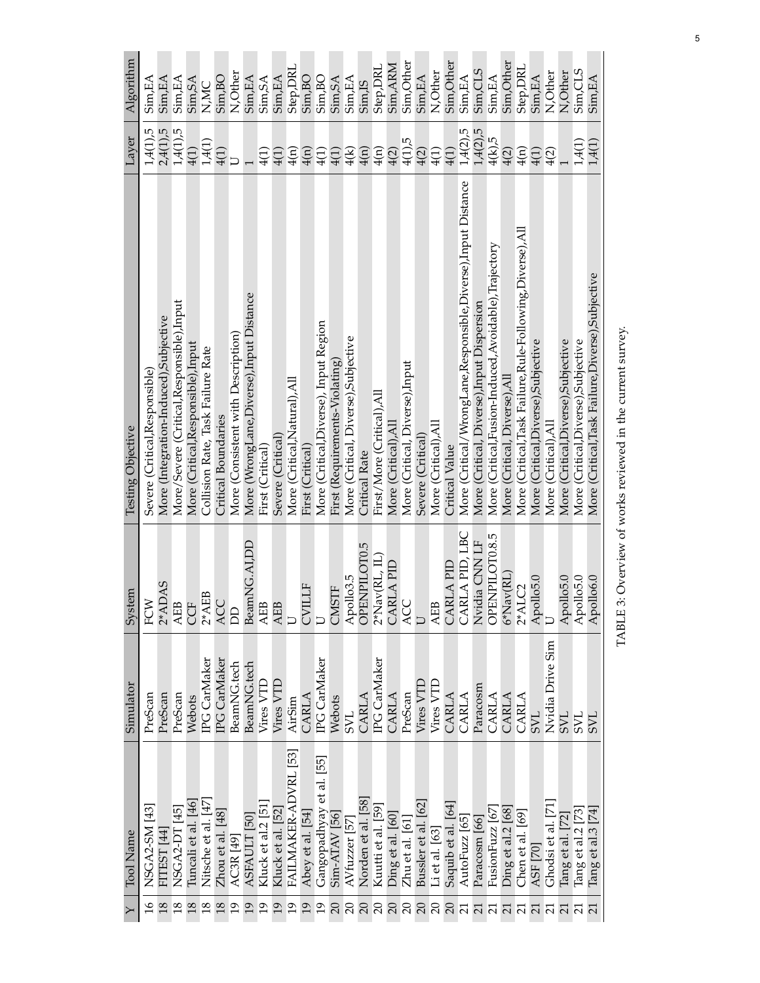|                 | $Y$   Tool Name                            | Simulator        | System                                                                                | Testing Objective                                            | Layer                  | Algorithm          |
|-----------------|--------------------------------------------|------------------|---------------------------------------------------------------------------------------|--------------------------------------------------------------|------------------------|--------------------|
|                 | NSGA2-SM [43]                              | PreScan          | FCW                                                                                   | Severe (Critical, Responsible)                               | 1,4(1),5               | Sim, EA            |
|                 | FITEST [44]                                | PreScan          | $2*ADAS$                                                                              | More (Integration-Induced),Subjective                        | 2,4(1),5               | Sim,EA             |
| $\frac{8}{2}$   | NSGA2-DT [45]                              | PreScan          | AEB<br>CCF                                                                            | More/Severe (Critical, Responsible), Input                   | $1,4(1)$ ,5            | Sim, EA            |
| 18              |                                            | Webots           |                                                                                       | More (Critical, Responsible), Input                          | 4(1)                   | Sim, SA            |
| 18              | Tuncali et al. [46]<br>Nitsche et al. [47] | IPG CarMaker     | $2*AEB$                                                                               | Collision Rate, Task Failure Rate                            | 1,4(1)                 | N,MC               |
| 18              | Zhou et al. [48]                           | IPG CarMaker     | ACC                                                                                   | Critical Boundaries                                          | 4(1)                   | Sim, BO            |
| $\overline{0}$  | AC3R[49]                                   | BeamNG.tech      | <b>A</b>                                                                              | More (Consistent with Description)                           |                        | N, Other           |
| $\overline{19}$ | ASFAULT [50]                               | BeamNG.tech      | BeamNG.AI,DD                                                                          | More (WrongLane, Diverse), Input Distance                    |                        | Sim, EA            |
|                 | Kluck et al.2 [51                          | Vires VTD        | $\begin{array}{c}\n\text{AEB} \\ \text{AEB} \\ \text{U}\n\end{array}$                 | First (Critical)                                             | 4(1)                   | Sim, SA            |
|                 | Kluck et al. [52]                          | Vires VTD        |                                                                                       | Severe (Critical)                                            | 4(1)                   | Sim,EA             |
|                 | FAILMAKER-ADVRL [53]                       | AirSim           |                                                                                       | More (Critical, Natural), All                                | 4(n)                   | Step, DRL          |
|                 | Abey et al. [54]                           | CARLA            | <b>CVILLF</b>                                                                         | First (Critical)                                             | $\frac{4(1)}{4(1)}$    | Sim, BO            |
|                 | Gangopadhyay et al. [55]                   | IPG CarMaker     | $\Box$                                                                                | More (Critical, Diverse), Input Region                       |                        | Sim, BO            |
|                 | Sim-ATAV [56]                              | Webots           | CMSTF                                                                                 | First (Requirements-Violating)                               | 4(1)                   | Sim, SA            |
| $\Omega$        | AVfuzzer [57]                              | <b>TAS</b>       | Apollo3.5<br>OPENPILOT0.5                                                             | More (Critical, Diverse), Subjective                         | 4(k)                   | Sim, EA            |
| $\Omega$        | Norden et al. [58]                         | CARLA            |                                                                                       | <b>Critical Rate</b>                                         | 4(n)                   | Sim <sub>,IS</sub> |
| $\Omega$        | Kuutti et al. [59]                         | IPG CarMaker     | $\frac{2^*\mathrm{Nav}(\mathrm{RL}, \, \mathrm{IL})}{\mathrm{CARLA} \, \mathrm{PID}}$ | First/More (Critical), All                                   | 4(n)                   | Step, DRL          |
| $\Omega$        | Ding et al. [60]                           | CARLA            |                                                                                       | More (Critical), Al.                                         | 4(2)                   | Sim, ARM           |
| $\Omega$        | $Zhu$ et al. $[61]$                        | PreScan          | ACC                                                                                   | More (Critical, Diverse),Input                               | 4(1)5                  | Sim, Other         |
| $\Omega$        | Bussler et al. [62                         | Vires VTL        |                                                                                       | Severe (Critical)                                            | 4(2)                   | Sim,EA             |
| $\Omega$        | Li et al. [63]                             | Vires VTD        | <b>AEB</b>                                                                            | More (Critical), All                                         | 4(1)                   | N, Other           |
| $\Omega$        | Saquib et al. [64                          | CARLA            | CARLA PID                                                                             | <b>Critical Value</b>                                        | 4(1)                   | Sim, Other         |
|                 | AutoFuzz [65]                              | CARLA            | CARLA PID, LBC                                                                        | More (Critical/WrongLane,Responsible,Diverse),Input Distance | 1,4(2),5               | Sim, EA            |
|                 | Paracosm [66]                              | Paracosm         | Nvidia CNN LF                                                                         | More (Critical, Diverse),Input Dispersion                    | $1,4(2),5$<br>$4(k),5$ | Sim,CLS            |
| $\overline{21}$ | FusionFuzz [67                             | CARLA            | OPENPILOT0.8.5                                                                        | More (Critical,Fusion-Induced,Avoidable),Trajectory          |                        | Sim,EA             |
|                 | $\rm{Ding}$ et al.2 $\rm{[68]}$            | CARLA            | $6*$ Nav $(RL)$                                                                       | More (Critical, Diverse), All                                | 4(2)                   | Sim, Other         |
|                 | Chen et al. [69]                           | CARLA            |                                                                                       | More (Critical, Task Failure, Rule-Following, Diverse), All  | $\frac{4(n)}{n}$       | Step, DRL          |
|                 | ASF [70]                                   | TAS              | $2*ALC2$<br>Apollo5.0<br>U                                                            | More (Critical, Diverse), Subjective                         | 4(1)                   | Sim,EA             |
|                 | Ghodsi et al. [71]                         | Nvidia Drive Sim |                                                                                       | More (Critical), All                                         | 4(2)                   | N, Other           |
|                 | Tang et al. [72]                           | TAS              | Apollo5.0                                                                             | More (Critical, Diverse), Subjective                         |                        | N, Other           |
|                 | Tang et al.2 [73]                          | 7NS              | Apollo5.0                                                                             | More (Critical, Diverse), Subjective                         | 1,4(1)                 | Sim, CLS           |
|                 | $\operatorname{Tang}$ et al.3 [74]         | <b>TAS</b>       | Apollo6.0                                                                             | More (Critical, Task Failure, Diverse), Subjective           | 1,4(1)                 | Sim, EA            |

TABLE 3: Overview of works reviewed in the current survey. TABLE 3: Overview of works reviewed in the current survey.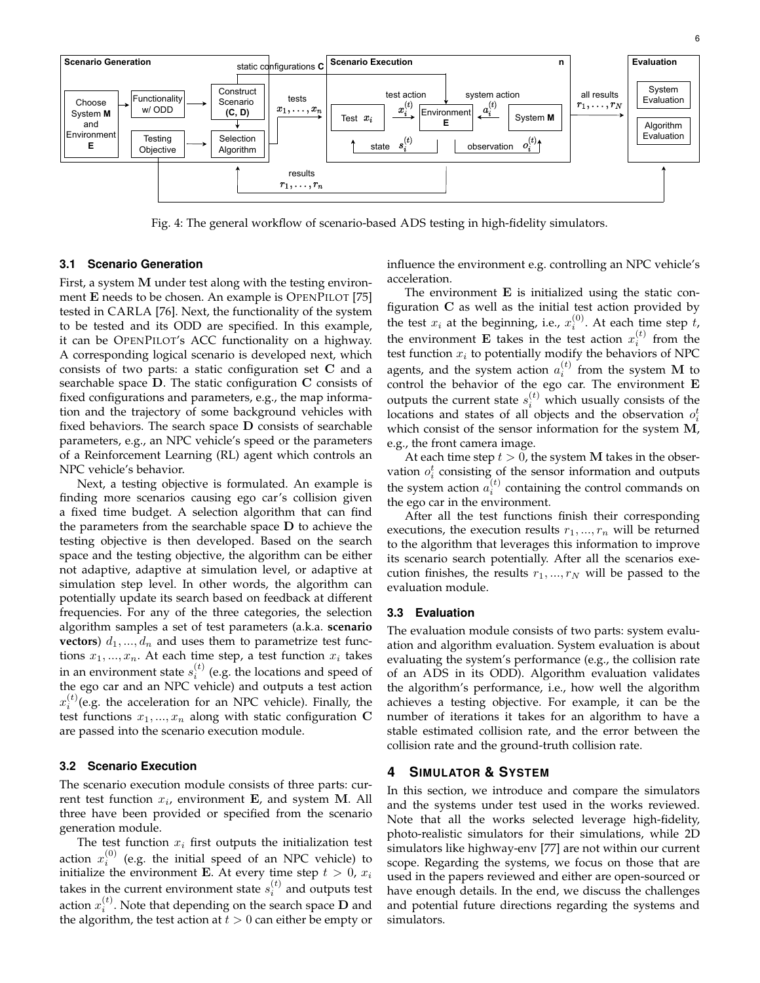

Fig. 4: The general workflow of scenario-based ADS testing in high-fidelity simulators.

## **3.1 Scenario Generation**

First, a system M under test along with the testing environment E needs to be chosen. An example is OPENPILOT [75] tested in CARLA [76]. Next, the functionality of the system to be tested and its ODD are specified. In this example, it can be OPENPILOT's ACC functionality on a highway. A corresponding logical scenario is developed next, which consists of two parts: a static configuration set C and a searchable space D. The static configuration C consists of fixed configurations and parameters, e.g., the map information and the trajectory of some background vehicles with fixed behaviors. The search space D consists of searchable parameters, e.g., an NPC vehicle's speed or the parameters of a Reinforcement Learning (RL) agent which controls an NPC vehicle's behavior.

Next, a testing objective is formulated. An example is finding more scenarios causing ego car's collision given a fixed time budget. A selection algorithm that can find the parameters from the searchable space  **to achieve the** testing objective is then developed. Based on the search space and the testing objective, the algorithm can be either not adaptive, adaptive at simulation level, or adaptive at simulation step level. In other words, the algorithm can potentially update its search based on feedback at different frequencies. For any of the three categories, the selection algorithm samples a set of test parameters (a.k.a. **scenario vectors**)  $d_1, ..., d_n$  and uses them to parametrize test functions  $x_1, ..., x_n$ . At each time step, a test function  $x_i$  takes in an environment state  $s_i^{(t)}$  (e.g. the locations and speed of the ego car and an NPC vehicle) and outputs a test action  $x_i^{(t)}$ (e.g. the acceleration for an NPC vehicle). Finally, the test functions  $x_1, ..., x_n$  along with static configuration C are passed into the scenario execution module.

#### **3.2 Scenario Execution**

The scenario execution module consists of three parts: current test function  $x_i$ , environment E, and system M. All three have been provided or specified from the scenario generation module.

The test function  $x_i$  first outputs the initialization test action  $x_i^{(0)}$  (e.g. the initial speed of an NPC vehicle) to initialize the environment E. At every time step  $t > 0$ ,  $x_i$ takes in the current environment state  $s_i^{(t)}$  and outputs test action  $x_i^{(t)}$ . Note that depending on the search space  ${\bf D}$  and the algorithm, the test action at  $t > 0$  can either be empty or influence the environment e.g. controlling an NPC vehicle's acceleration.

The environment  $E$  is initialized using the static configuration  $C$  as well as the initial test action provided by the test  $x_i$  at the beginning, i.e.,  $x_i^{(0)}$ . At each time step t, the environment **E** takes in the test action  $x_i^{(t)}$  from the test function  $x_i$  to potentially modify the behaviors of NPC agents, and the system action  $a_i^{(t)}$  from the system M to control the behavior of the ego car. The environment E outputs the current state  $s_i^{(t)}$  which usually consists of the locations and states of all objects and the observation  $o_i^t$ which consist of the sensor information for the system M, e.g., the front camera image.

At each time step  $t > 0$ , the system M takes in the observation  $o_i^t$  consisting of the sensor information and outputs the system action  $a_i^{(t)}$  containing the control commands on the ego car in the environment.

After all the test functions finish their corresponding executions, the execution results  $r_1, ..., r_n$  will be returned to the algorithm that leverages this information to improve its scenario search potentially. After all the scenarios execution finishes, the results  $r_1, ..., r_N$  will be passed to the evaluation module.

#### **3.3 Evaluation**

The evaluation module consists of two parts: system evaluation and algorithm evaluation. System evaluation is about evaluating the system's performance (e.g., the collision rate of an ADS in its ODD). Algorithm evaluation validates the algorithm's performance, i.e., how well the algorithm achieves a testing objective. For example, it can be the number of iterations it takes for an algorithm to have a stable estimated collision rate, and the error between the collision rate and the ground-truth collision rate.

#### **4 SIMULATOR & SYSTEM**

In this section, we introduce and compare the simulators and the systems under test used in the works reviewed. Note that all the works selected leverage high-fidelity, photo-realistic simulators for their simulations, while 2D simulators like highway-env [77] are not within our current scope. Regarding the systems, we focus on those that are used in the papers reviewed and either are open-sourced or have enough details. In the end, we discuss the challenges and potential future directions regarding the systems and simulators.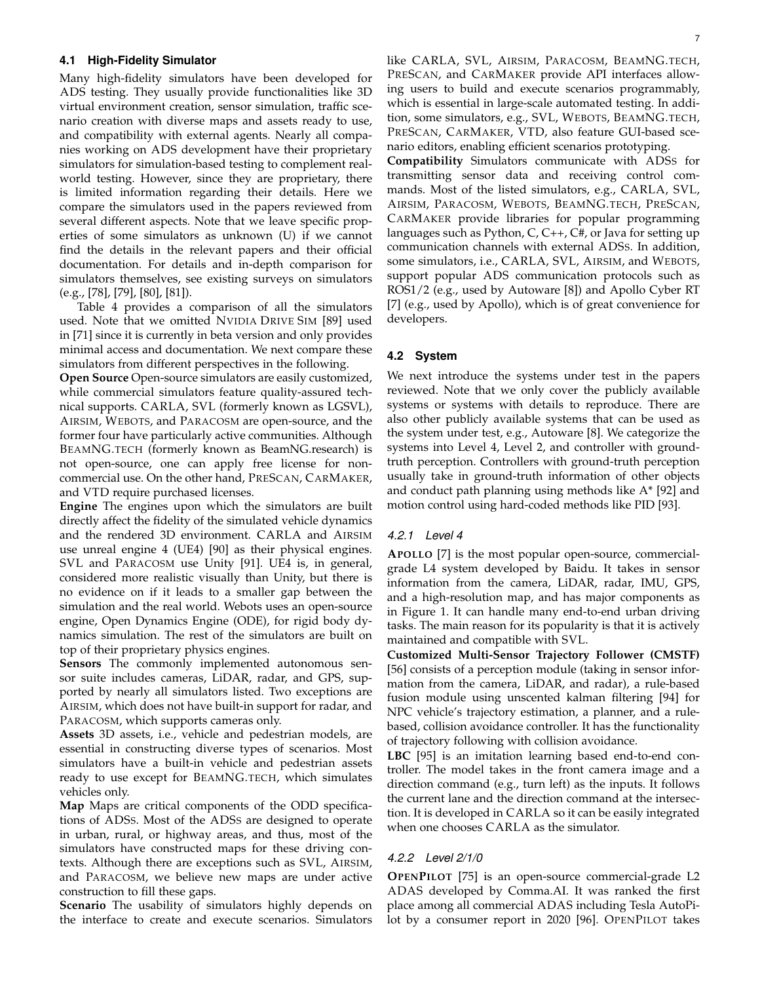#### **4.1 High-Fidelity Simulator**

Many high-fidelity simulators have been developed for ADS testing. They usually provide functionalities like 3D virtual environment creation, sensor simulation, traffic scenario creation with diverse maps and assets ready to use, and compatibility with external agents. Nearly all companies working on ADS development have their proprietary simulators for simulation-based testing to complement realworld testing. However, since they are proprietary, there is limited information regarding their details. Here we compare the simulators used in the papers reviewed from several different aspects. Note that we leave specific properties of some simulators as unknown (U) if we cannot find the details in the relevant papers and their official documentation. For details and in-depth comparison for simulators themselves, see existing surveys on simulators (e.g., [78], [79], [80], [81]).

Table 4 provides a comparison of all the simulators used. Note that we omitted NVIDIA DRIVE SIM [89] used in [71] since it is currently in beta version and only provides minimal access and documentation. We next compare these simulators from different perspectives in the following.

**Open Source** Open-source simulators are easily customized, while commercial simulators feature quality-assured technical supports. CARLA, SVL (formerly known as LGSVL), AIRSIM, WEBOTS, and PARACOSM are open-source, and the former four have particularly active communities. Although BEAMNG.TECH (formerly known as BeamNG.research) is not open-source, one can apply free license for noncommercial use. On the other hand, PRESCAN, CARMAKER, and VTD require purchased licenses.

**Engine** The engines upon which the simulators are built directly affect the fidelity of the simulated vehicle dynamics and the rendered 3D environment. CARLA and AIRSIM use unreal engine 4 (UE4) [90] as their physical engines. SVL and PARACOSM use Unity [91]. UE4 is, in general, considered more realistic visually than Unity, but there is no evidence on if it leads to a smaller gap between the simulation and the real world. Webots uses an open-source engine, Open Dynamics Engine (ODE), for rigid body dynamics simulation. The rest of the simulators are built on top of their proprietary physics engines.

**Sensors** The commonly implemented autonomous sensor suite includes cameras, LiDAR, radar, and GPS, supported by nearly all simulators listed. Two exceptions are AIRSIM, which does not have built-in support for radar, and PARACOSM, which supports cameras only.

**Assets** 3D assets, i.e., vehicle and pedestrian models, are essential in constructing diverse types of scenarios. Most simulators have a built-in vehicle and pedestrian assets ready to use except for BEAMNG.TECH, which simulates vehicles only.

**Map** Maps are critical components of the ODD specifications of ADSS. Most of the ADSS are designed to operate in urban, rural, or highway areas, and thus, most of the simulators have constructed maps for these driving contexts. Although there are exceptions such as SVL, AIRSIM, and PARACOSM, we believe new maps are under active construction to fill these gaps.

**Scenario** The usability of simulators highly depends on the interface to create and execute scenarios. Simulators like CARLA, SVL, AIRSIM, PARACOSM, BEAMNG.TECH, PRESCAN, and CARMAKER provide API interfaces allowing users to build and execute scenarios programmably, which is essential in large-scale automated testing. In addition, some simulators, e.g., SVL, WEBOTS, BEAMNG.TECH, PRESCAN, CARMAKER, VTD, also feature GUI-based scenario editors, enabling efficient scenarios prototyping.

**Compatibility** Simulators communicate with ADSS for transmitting sensor data and receiving control commands. Most of the listed simulators, e.g., CARLA, SVL, AIRSIM, PARACOSM, WEBOTS, BEAMNG.TECH, PRESCAN, CARMAKER provide libraries for popular programming languages such as Python, C, C++, C#, or Java for setting up communication channels with external ADSS. In addition, some simulators, i.e., CARLA, SVL, AIRSIM, and WEBOTS, support popular ADS communication protocols such as ROS1/2 (e.g., used by Autoware [8]) and Apollo Cyber RT [7] (e.g., used by Apollo), which is of great convenience for developers.

#### **4.2 System**

We next introduce the systems under test in the papers reviewed. Note that we only cover the publicly available systems or systems with details to reproduce. There are also other publicly available systems that can be used as the system under test, e.g., Autoware [8]. We categorize the systems into Level 4, Level 2, and controller with groundtruth perception. Controllers with ground-truth perception usually take in ground-truth information of other objects and conduct path planning using methods like A\* [92] and motion control using hard-coded methods like PID [93].

#### *4.2.1 Level 4*

**APOLLO** [7] is the most popular open-source, commercialgrade L4 system developed by Baidu. It takes in sensor information from the camera, LiDAR, radar, IMU, GPS, and a high-resolution map, and has major components as in Figure 1. It can handle many end-to-end urban driving tasks. The main reason for its popularity is that it is actively maintained and compatible with SVL.

**Customized Multi-Sensor Trajectory Follower (CMSTF)** [56] consists of a perception module (taking in sensor information from the camera, LiDAR, and radar), a rule-based fusion module using unscented kalman filtering [94] for NPC vehicle's trajectory estimation, a planner, and a rulebased, collision avoidance controller. It has the functionality of trajectory following with collision avoidance.

**LBC** [95] is an imitation learning based end-to-end controller. The model takes in the front camera image and a direction command (e.g., turn left) as the inputs. It follows the current lane and the direction command at the intersection. It is developed in CARLA so it can be easily integrated when one chooses CARLA as the simulator.

#### *4.2.2 Level 2/1/0*

**OPENPILOT** [75] is an open-source commercial-grade L2 ADAS developed by Comma.AI. It was ranked the first place among all commercial ADAS including Tesla AutoPilot by a consumer report in 2020 [96]. OPENPILOT takes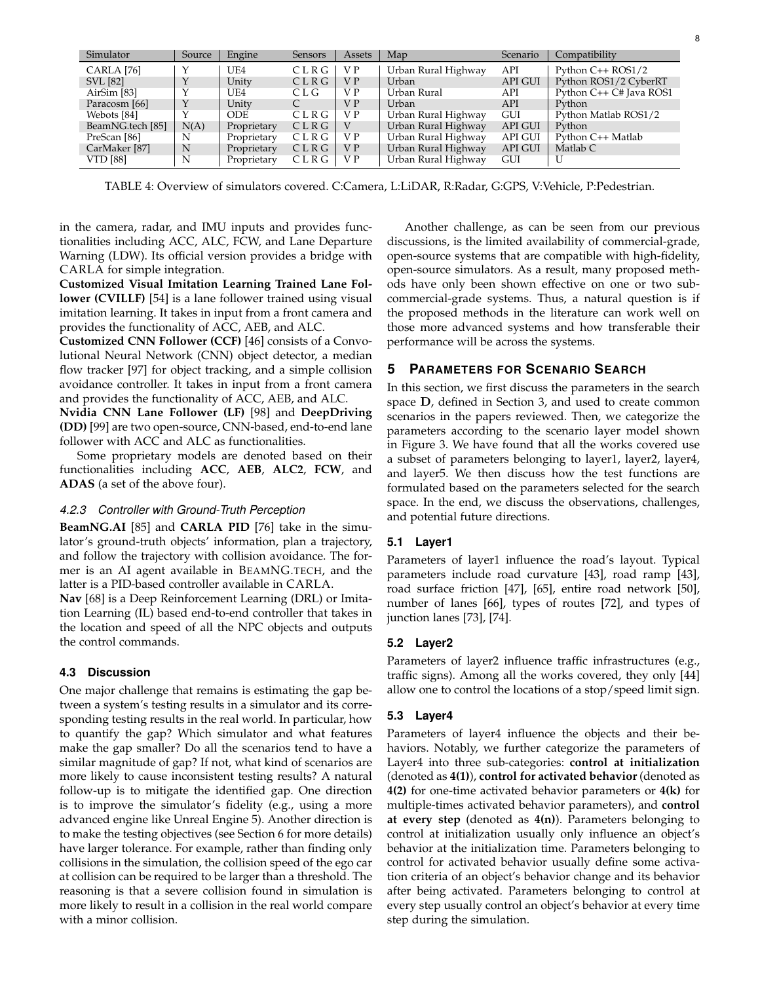| Simulator                | Source | Engine      | Sensors | Assets         | Map                 | Scenario       | Compatibility           |
|--------------------------|--------|-------------|---------|----------------|---------------------|----------------|-------------------------|
| CARLA [76]               |        | UE4         | CLRG    | V P            | Urban Rural Highway | API            | Python $C_{++}$ ROS1/2  |
| <b>SVL</b> [82]          |        | Unity       | CLRG    | V <sub>P</sub> | Urban               | <b>API GUI</b> | Python ROS1/2 CyberRT   |
| AirSim [83]              |        | UE4         | CLG.    | V P            | Urban Rural         | API            | Python C++ C# Java ROS1 |
| Paracosm [66]            |        | Unity       |         | V P            | Urban               | API            | Python                  |
| Webots [84]              |        | ODE.        | CLRG    | V P            | Urban Rural Highway | <b>GUI</b>     | Python Matlab ROS1/2    |
| BeamNG.tech [85]         | N(A)   | Proprietary | CLRG    | V              | Urban Rural Highway | <b>API GUI</b> | Python                  |
| PreScan [86]             | N      | Proprietary | CLRG    | V P            | Urban Rural Highway | <b>API GUI</b> | Python C++ Matlab       |
| CarMaker <sup>[87]</sup> | N      | Proprietary | CLRG    | V P            | Urban Rural Highway | API GUI        | Matlab C                |
| <b>VTD</b> [88]          | N      | Proprietary | CLRG    | V P            | Urban Rural Highway | <b>GUI</b>     |                         |

TABLE 4: Overview of simulators covered. C:Camera, L:LiDAR, R:Radar, G:GPS, V:Vehicle, P:Pedestrian.

in the camera, radar, and IMU inputs and provides functionalities including ACC, ALC, FCW, and Lane Departure Warning (LDW). Its official version provides a bridge with CARLA for simple integration.

**Customized Visual Imitation Learning Trained Lane Follower (CVILLF)** [54] is a lane follower trained using visual imitation learning. It takes in input from a front camera and provides the functionality of ACC, AEB, and ALC.

**Customized CNN Follower (CCF)** [46] consists of a Convolutional Neural Network (CNN) object detector, a median flow tracker [97] for object tracking, and a simple collision avoidance controller. It takes in input from a front camera and provides the functionality of ACC, AEB, and ALC.

**Nvidia CNN Lane Follower (LF)** [98] and **DeepDriving (DD)** [99] are two open-source, CNN-based, end-to-end lane follower with ACC and ALC as functionalities.

Some proprietary models are denoted based on their functionalities including **ACC**, **AEB**, **ALC2**, **FCW**, and **ADAS** (a set of the above four).

## *4.2.3 Controller with Ground-Truth Perception*

**BeamNG.AI** [85] and **CARLA PID** [76] take in the simulator's ground-truth objects' information, plan a trajectory, and follow the trajectory with collision avoidance. The former is an AI agent available in BEAMNG.TECH, and the latter is a PID-based controller available in CARLA.

**Nav** [68] is a Deep Reinforcement Learning (DRL) or Imitation Learning (IL) based end-to-end controller that takes in the location and speed of all the NPC objects and outputs the control commands.

## **4.3 Discussion**

One major challenge that remains is estimating the gap between a system's testing results in a simulator and its corresponding testing results in the real world. In particular, how to quantify the gap? Which simulator and what features make the gap smaller? Do all the scenarios tend to have a similar magnitude of gap? If not, what kind of scenarios are more likely to cause inconsistent testing results? A natural follow-up is to mitigate the identified gap. One direction is to improve the simulator's fidelity (e.g., using a more advanced engine like Unreal Engine 5). Another direction is to make the testing objectives (see Section 6 for more details) have larger tolerance. For example, rather than finding only collisions in the simulation, the collision speed of the ego car at collision can be required to be larger than a threshold. The reasoning is that a severe collision found in simulation is more likely to result in a collision in the real world compare with a minor collision.

Another challenge, as can be seen from our previous discussions, is the limited availability of commercial-grade, open-source systems that are compatible with high-fidelity, open-source simulators. As a result, many proposed methods have only been shown effective on one or two subcommercial-grade systems. Thus, a natural question is if the proposed methods in the literature can work well on those more advanced systems and how transferable their performance will be across the systems.

## **5 PARAMETERS FOR SCENARIO SEARCH**

In this section, we first discuss the parameters in the search space D, defined in Section 3, and used to create common scenarios in the papers reviewed. Then, we categorize the parameters according to the scenario layer model shown in Figure 3. We have found that all the works covered use a subset of parameters belonging to layer1, layer2, layer4, and layer5. We then discuss how the test functions are formulated based on the parameters selected for the search space. In the end, we discuss the observations, challenges, and potential future directions.

## **5.1 Layer1**

Parameters of layer1 influence the road's layout. Typical parameters include road curvature [43], road ramp [43], road surface friction [47], [65], entire road network [50], number of lanes [66], types of routes [72], and types of junction lanes [73], [74].

## **5.2 Layer2**

Parameters of layer2 influence traffic infrastructures (e.g., traffic signs). Among all the works covered, they only [44] allow one to control the locations of a stop/speed limit sign.

## **5.3 Layer4**

Parameters of layer4 influence the objects and their behaviors. Notably, we further categorize the parameters of Layer4 into three sub-categories: **control at initialization** (denoted as **4(1)**), **control for activated behavior** (denoted as **4(2)** for one-time activated behavior parameters or **4(k)** for multiple-times activated behavior parameters), and **control at every step** (denoted as **4(n)**). Parameters belonging to control at initialization usually only influence an object's behavior at the initialization time. Parameters belonging to control for activated behavior usually define some activation criteria of an object's behavior change and its behavior after being activated. Parameters belonging to control at every step usually control an object's behavior at every time step during the simulation.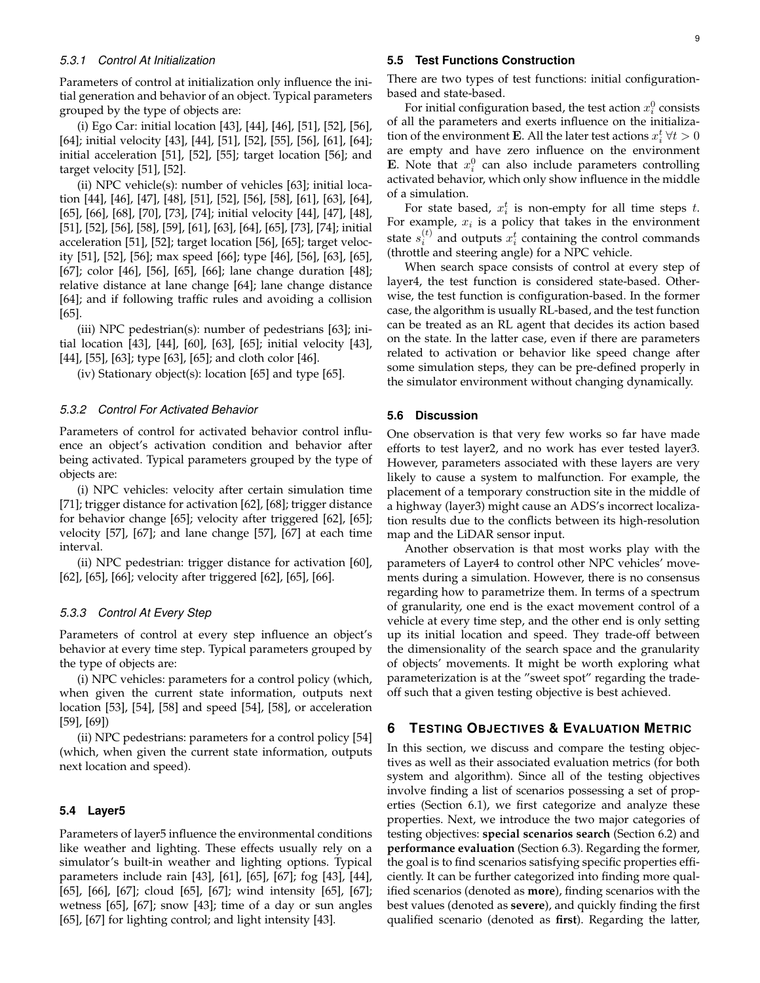#### *5.3.1 Control At Initialization*

Parameters of control at initialization only influence the initial generation and behavior of an object. Typical parameters grouped by the type of objects are:

(i) Ego Car: initial location [43], [44], [46], [51], [52], [56], [64]; initial velocity [43], [44], [51], [52], [55], [56], [61], [64]; initial acceleration [51], [52], [55]; target location [56]; and target velocity [51], [52].

(ii) NPC vehicle(s): number of vehicles [63]; initial location [44], [46], [47], [48], [51], [52], [56], [58], [61], [63], [64], [65], [66], [68], [70], [73], [74]; initial velocity [44], [47], [48], [51], [52], [56], [58], [59], [61], [63], [64], [65], [73], [74]; initial acceleration [51], [52]; target location [56], [65]; target velocity [51], [52], [56]; max speed [66]; type [46], [56], [63], [65], [67]; color [46], [56], [65], [66]; lane change duration [48]; relative distance at lane change [64]; lane change distance [64]; and if following traffic rules and avoiding a collision [65].

(iii) NPC pedestrian(s): number of pedestrians [63]; initial location [43], [44], [60], [63], [65]; initial velocity [43], [44], [55], [63]; type [63], [65]; and cloth color [46].

(iv) Stationary object(s): location [65] and type [65].

#### *5.3.2 Control For Activated Behavior*

Parameters of control for activated behavior control influence an object's activation condition and behavior after being activated. Typical parameters grouped by the type of objects are:

(i) NPC vehicles: velocity after certain simulation time [71]; trigger distance for activation [62], [68]; trigger distance for behavior change [65]; velocity after triggered [62], [65]; velocity [57], [67]; and lane change [57], [67] at each time interval.

(ii) NPC pedestrian: trigger distance for activation [60], [62], [65], [66]; velocity after triggered [62], [65], [66].

#### *5.3.3 Control At Every Step*

Parameters of control at every step influence an object's behavior at every time step. Typical parameters grouped by the type of objects are:

(i) NPC vehicles: parameters for a control policy (which, when given the current state information, outputs next location [53], [54], [58] and speed [54], [58], or acceleration [59], [69])

(ii) NPC pedestrians: parameters for a control policy [54] (which, when given the current state information, outputs next location and speed).

#### **5.4 Layer5**

Parameters of layer5 influence the environmental conditions like weather and lighting. These effects usually rely on a simulator's built-in weather and lighting options. Typical parameters include rain [43], [61], [65], [67]; fog [43], [44], [65], [66], [67]; cloud [65], [67]; wind intensity [65], [67]; wetness [65], [67]; snow [43]; time of a day or sun angles [65], [67] for lighting control; and light intensity [43].

#### **5.5 Test Functions Construction**

There are two types of test functions: initial configurationbased and state-based.

For initial configuration based, the test action  $x_i^0$  consists of all the parameters and exerts influence on the initialization of the environment **E**. All the later test actions  $x_i^t \,\forall t > 0$ are empty and have zero influence on the environment **E**. Note that  $x_i^0$  can also include parameters controlling activated behavior, which only show influence in the middle of a simulation.

For state based,  $x_i^t$  is non-empty for all time steps  $t$ . For example,  $x_i$  is a policy that takes in the environment state  $s_i^{(t)}$  and outputs  $x_i^t$  containing the control commands (throttle and steering angle) for a NPC vehicle.

When search space consists of control at every step of layer4, the test function is considered state-based. Otherwise, the test function is configuration-based. In the former case, the algorithm is usually RL-based, and the test function can be treated as an RL agent that decides its action based on the state. In the latter case, even if there are parameters related to activation or behavior like speed change after some simulation steps, they can be pre-defined properly in the simulator environment without changing dynamically.

#### **5.6 Discussion**

One observation is that very few works so far have made efforts to test layer2, and no work has ever tested layer3. However, parameters associated with these layers are very likely to cause a system to malfunction. For example, the placement of a temporary construction site in the middle of a highway (layer3) might cause an ADS's incorrect localization results due to the conflicts between its high-resolution map and the LiDAR sensor input.

Another observation is that most works play with the parameters of Layer4 to control other NPC vehicles' movements during a simulation. However, there is no consensus regarding how to parametrize them. In terms of a spectrum of granularity, one end is the exact movement control of a vehicle at every time step, and the other end is only setting up its initial location and speed. They trade-off between the dimensionality of the search space and the granularity of objects' movements. It might be worth exploring what parameterization is at the "sweet spot" regarding the tradeoff such that a given testing objective is best achieved.

## **6 TESTING OBJECTIVES & EVALUATION METRIC**

In this section, we discuss and compare the testing objectives as well as their associated evaluation metrics (for both system and algorithm). Since all of the testing objectives involve finding a list of scenarios possessing a set of properties (Section 6.1), we first categorize and analyze these properties. Next, we introduce the two major categories of testing objectives: **special scenarios search** (Section 6.2) and **performance evaluation** (Section 6.3). Regarding the former, the goal is to find scenarios satisfying specific properties efficiently. It can be further categorized into finding more qualified scenarios (denoted as **more**), finding scenarios with the best values (denoted as **severe**), and quickly finding the first qualified scenario (denoted as **first**). Regarding the latter,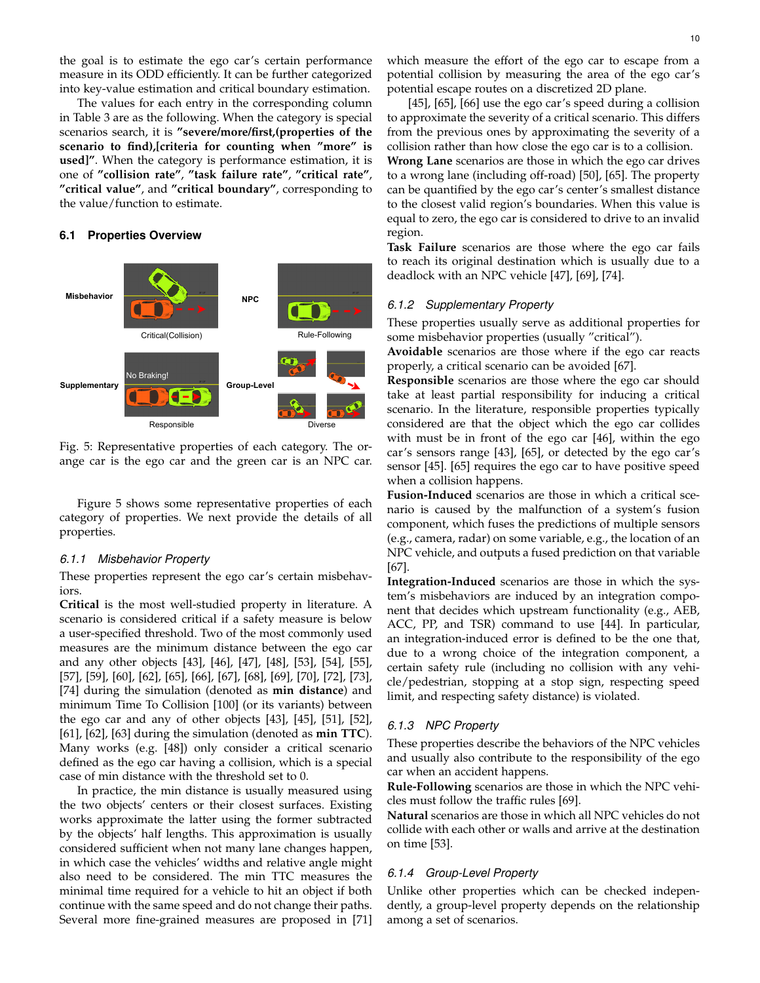the goal is to estimate the ego car's certain performance measure in its ODD efficiently. It can be further categorized into key-value estimation and critical boundary estimation.

The values for each entry in the corresponding column in Table 3 are as the following. When the category is special scenarios search, it is **"severe/more/first,(properties of the scenario to find),[criteria for counting when "more" is used]"**. When the category is performance estimation, it is one of **"collision rate"**, **"task failure rate"**, **"critical rate"**, **"critical value"**, and **"critical boundary"**, corresponding to the value/function to estimate.

#### **6.1 Properties Overview**



Fig. 5: Representative properties of each category. The orange car is the ego car and the green car is an NPC car.

Figure 5 shows some representative properties of each category of properties. We next provide the details of all properties.

#### *6.1.1 Misbehavior Property*

These properties represent the ego car's certain misbehaviors.

**Critical** is the most well-studied property in literature. A scenario is considered critical if a safety measure is below a user-specified threshold. Two of the most commonly used measures are the minimum distance between the ego car and any other objects [43], [46], [47], [48], [53], [54], [55], [57], [59], [60], [62], [65], [66], [67], [68], [69], [70], [72], [73], [74] during the simulation (denoted as **min distance**) and minimum Time To Collision [100] (or its variants) between the ego car and any of other objects [43], [45], [51], [52], [61], [62], [63] during the simulation (denoted as **min TTC**). Many works (e.g. [48]) only consider a critical scenario defined as the ego car having a collision, which is a special case of min distance with the threshold set to 0.

In practice, the min distance is usually measured using the two objects' centers or their closest surfaces. Existing works approximate the latter using the former subtracted by the objects' half lengths. This approximation is usually considered sufficient when not many lane changes happen, in which case the vehicles' widths and relative angle might also need to be considered. The min TTC measures the minimal time required for a vehicle to hit an object if both continue with the same speed and do not change their paths. Several more fine-grained measures are proposed in [71]

which measure the effort of the ego car to escape from a potential collision by measuring the area of the ego car's potential escape routes on a discretized 2D plane.

[45], [65], [66] use the ego car's speed during a collision to approximate the severity of a critical scenario. This differs from the previous ones by approximating the severity of a collision rather than how close the ego car is to a collision.

**Wrong Lane** scenarios are those in which the ego car drives to a wrong lane (including off-road) [50], [65]. The property can be quantified by the ego car's center's smallest distance to the closest valid region's boundaries. When this value is equal to zero, the ego car is considered to drive to an invalid region.

**Task Failure** scenarios are those where the ego car fails to reach its original destination which is usually due to a deadlock with an NPC vehicle [47], [69], [74].

#### *6.1.2 Supplementary Property*

These properties usually serve as additional properties for some misbehavior properties (usually "critical").

**Avoidable** scenarios are those where if the ego car reacts properly, a critical scenario can be avoided [67].

**Responsible** scenarios are those where the ego car should take at least partial responsibility for inducing a critical scenario. In the literature, responsible properties typically considered are that the object which the ego car collides with must be in front of the ego car [46], within the ego car's sensors range [43], [65], or detected by the ego car's sensor [45]. [65] requires the ego car to have positive speed when a collision happens.

**Fusion-Induced** scenarios are those in which a critical scenario is caused by the malfunction of a system's fusion component, which fuses the predictions of multiple sensors (e.g., camera, radar) on some variable, e.g., the location of an NPC vehicle, and outputs a fused prediction on that variable [67].

**Integration-Induced** scenarios are those in which the system's misbehaviors are induced by an integration component that decides which upstream functionality (e.g., AEB, ACC, PP, and TSR) command to use [44]. In particular, an integration-induced error is defined to be the one that, due to a wrong choice of the integration component, a certain safety rule (including no collision with any vehicle/pedestrian, stopping at a stop sign, respecting speed limit, and respecting safety distance) is violated.

#### *6.1.3 NPC Property*

These properties describe the behaviors of the NPC vehicles and usually also contribute to the responsibility of the ego car when an accident happens.

**Rule-Following** scenarios are those in which the NPC vehicles must follow the traffic rules [69].

**Natural** scenarios are those in which all NPC vehicles do not collide with each other or walls and arrive at the destination on time [53].

#### *6.1.4 Group-Level Property*

Unlike other properties which can be checked independently, a group-level property depends on the relationship among a set of scenarios.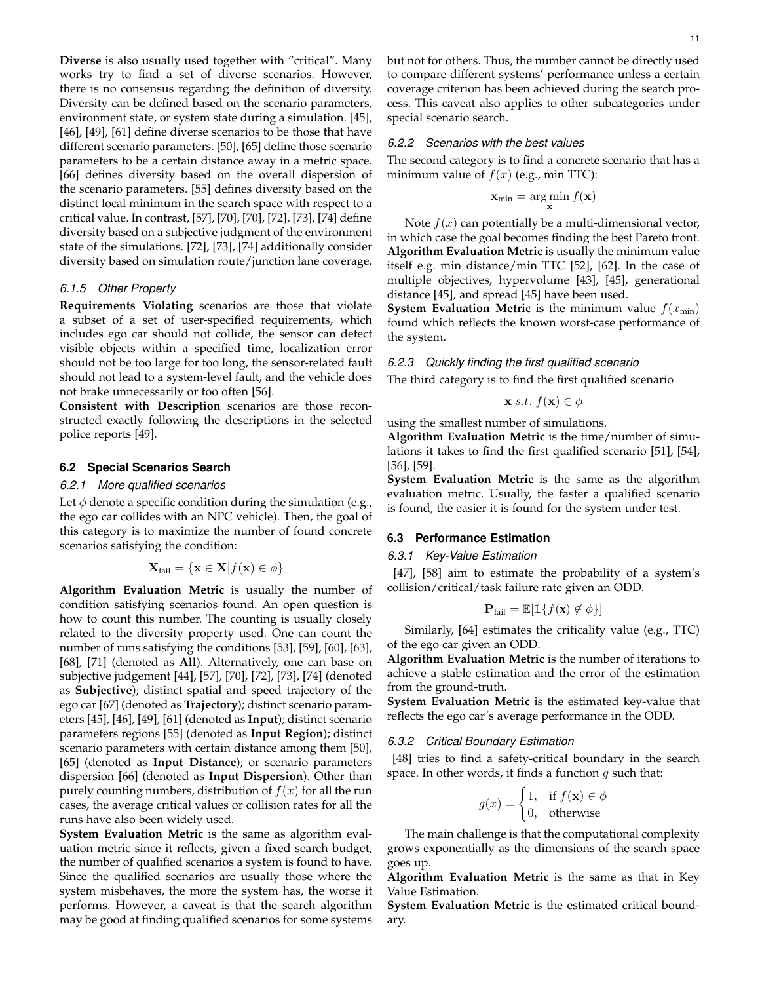**Diverse** is also usually used together with "critical". Many works try to find a set of diverse scenarios. However, there is no consensus regarding the definition of diversity. Diversity can be defined based on the scenario parameters, environment state, or system state during a simulation. [45], [46], [49], [61] define diverse scenarios to be those that have different scenario parameters. [50], [65] define those scenario parameters to be a certain distance away in a metric space. [66] defines diversity based on the overall dispersion of the scenario parameters. [55] defines diversity based on the distinct local minimum in the search space with respect to a critical value. In contrast, [57], [70], [70], [72], [73], [74] define diversity based on a subjective judgment of the environment state of the simulations. [72], [73], [74] additionally consider diversity based on simulation route/junction lane coverage.

#### *6.1.5 Other Property*

**Requirements Violating** scenarios are those that violate a subset of a set of user-specified requirements, which includes ego car should not collide, the sensor can detect visible objects within a specified time, localization error should not be too large for too long, the sensor-related fault should not lead to a system-level fault, and the vehicle does not brake unnecessarily or too often [56].

**Consistent with Description** scenarios are those reconstructed exactly following the descriptions in the selected police reports [49].

#### **6.2 Special Scenarios Search**

#### *6.2.1 More qualified scenarios*

Let  $\phi$  denote a specific condition during the simulation (e.g., the ego car collides with an NPC vehicle). Then, the goal of this category is to maximize the number of found concrete scenarios satisfying the condition:

$$
\mathbf{X}_{\text{fail}} = \{\mathbf{x} \in \mathbf{X} | f(\mathbf{x}) \in \phi\}
$$

**Algorithm Evaluation Metric** is usually the number of condition satisfying scenarios found. An open question is how to count this number. The counting is usually closely related to the diversity property used. One can count the number of runs satisfying the conditions [53], [59], [60], [63], [68], [71] (denoted as **All**). Alternatively, one can base on subjective judgement [44], [57], [70], [72], [73], [74] (denoted as **Subjective**); distinct spatial and speed trajectory of the ego car [67] (denoted as **Trajectory**); distinct scenario parameters [45], [46], [49], [61] (denoted as **Input**); distinct scenario parameters regions [55] (denoted as **Input Region**); distinct scenario parameters with certain distance among them [50], [65] (denoted as **Input Distance**); or scenario parameters dispersion [66] (denoted as **Input Dispersion**). Other than purely counting numbers, distribution of  $f(x)$  for all the run cases, the average critical values or collision rates for all the runs have also been widely used.

**System Evaluation Metric** is the same as algorithm evaluation metric since it reflects, given a fixed search budget, the number of qualified scenarios a system is found to have. Since the qualified scenarios are usually those where the system misbehaves, the more the system has, the worse it performs. However, a caveat is that the search algorithm may be good at finding qualified scenarios for some systems

but not for others. Thus, the number cannot be directly used to compare different systems' performance unless a certain coverage criterion has been achieved during the search process. This caveat also applies to other subcategories under special scenario search.

## *6.2.2 Scenarios with the best values*

The second category is to find a concrete scenario that has a minimum value of  $f(x)$  (e.g., min TTC):

$$
\mathbf{x}_{\min} = \argmin_{\mathbf{x}} f(\mathbf{x})
$$

Note  $f(x)$  can potentially be a multi-dimensional vector, in which case the goal becomes finding the best Pareto front. **Algorithm Evaluation Metric** is usually the minimum value itself e.g. min distance/min TTC [52], [62]. In the case of multiple objectives, hypervolume [43], [45], generational distance [45], and spread [45] have been used.

**System Evaluation Metric** is the minimum value  $f(x_{min})$ found which reflects the known worst-case performance of the system.

## *6.2.3 Quickly finding the first qualified scenario* The third category is to find the first qualified scenario

$$
\mathbf{x} \ s.t. \ f(\mathbf{x}) \in \phi
$$

using the smallest number of simulations.

**Algorithm Evaluation Metric** is the time/number of simulations it takes to find the first qualified scenario [51], [54], [56], [59].

**System Evaluation Metric** is the same as the algorithm evaluation metric. Usually, the faster a qualified scenario is found, the easier it is found for the system under test.

#### **6.3 Performance Estimation**

#### *6.3.1 Key-Value Estimation*

[47], [58] aim to estimate the probability of a system's collision/critical/task failure rate given an ODD.

$$
\mathbf{P}_{\text{fail}} = \mathbb{E}[\mathbb{1}\{f(\mathbf{x}) \notin \phi\}]
$$

Similarly, [64] estimates the criticality value (e.g., TTC) of the ego car given an ODD.

**Algorithm Evaluation Metric** is the number of iterations to achieve a stable estimation and the error of the estimation from the ground-truth.

**System Evaluation Metric** is the estimated key-value that reflects the ego car's average performance in the ODD.

#### *6.3.2 Critical Boundary Estimation*

[48] tries to find a safety-critical boundary in the search space. In other words, it finds a function  $g$  such that:

$$
g(x) = \begin{cases} 1, & \text{if } f(\mathbf{x}) \in \phi \\ 0, & \text{otherwise} \end{cases}
$$

The main challenge is that the computational complexity grows exponentially as the dimensions of the search space goes up.

**Algorithm Evaluation Metric** is the same as that in Key Value Estimation.

**System Evaluation Metric** is the estimated critical boundary.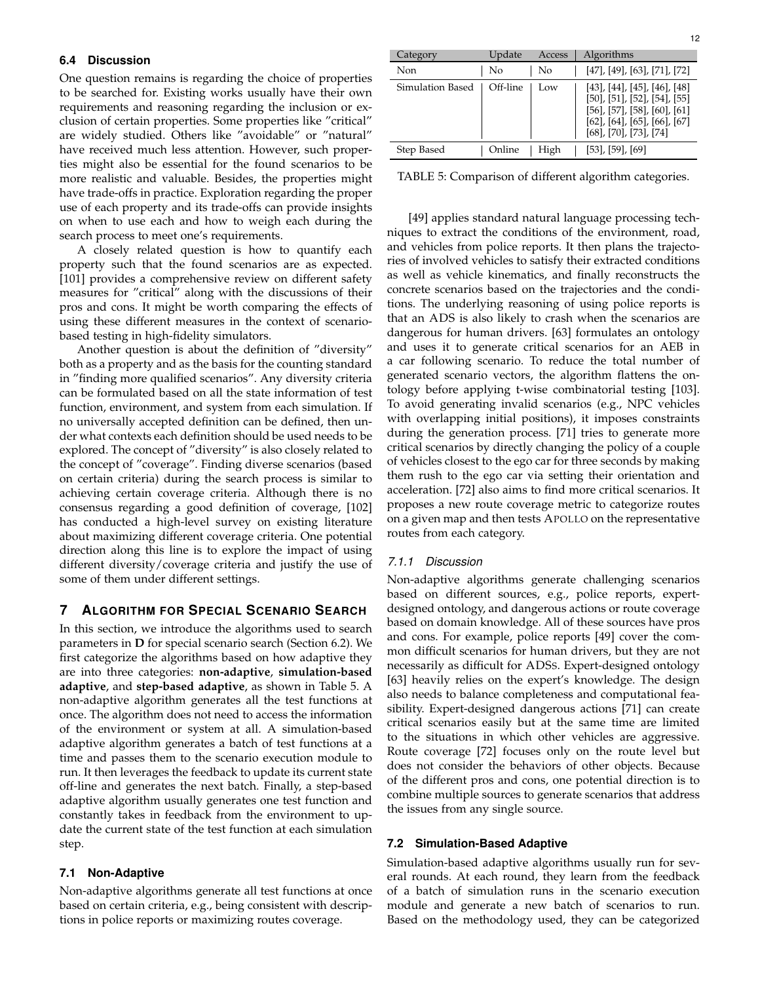#### **6.4 Discussion**

One question remains is regarding the choice of properties to be searched for. Existing works usually have their own requirements and reasoning regarding the inclusion or exclusion of certain properties. Some properties like "critical" are widely studied. Others like "avoidable" or "natural" have received much less attention. However, such properties might also be essential for the found scenarios to be more realistic and valuable. Besides, the properties might have trade-offs in practice. Exploration regarding the proper use of each property and its trade-offs can provide insights on when to use each and how to weigh each during the search process to meet one's requirements.

A closely related question is how to quantify each property such that the found scenarios are as expected. [101] provides a comprehensive review on different safety measures for "critical" along with the discussions of their pros and cons. It might be worth comparing the effects of using these different measures in the context of scenariobased testing in high-fidelity simulators.

Another question is about the definition of "diversity" both as a property and as the basis for the counting standard in "finding more qualified scenarios". Any diversity criteria can be formulated based on all the state information of test function, environment, and system from each simulation. If no universally accepted definition can be defined, then under what contexts each definition should be used needs to be explored. The concept of "diversity" is also closely related to the concept of "coverage". Finding diverse scenarios (based on certain criteria) during the search process is similar to achieving certain coverage criteria. Although there is no consensus regarding a good definition of coverage, [102] has conducted a high-level survey on existing literature about maximizing different coverage criteria. One potential direction along this line is to explore the impact of using different diversity/coverage criteria and justify the use of some of them under different settings.

#### **7 ALGORITHM FOR SPECIAL SCENARIO SEARCH**

In this section, we introduce the algorithms used to search parameters in **D** for special scenario search (Section 6.2). We first categorize the algorithms based on how adaptive they are into three categories: **non-adaptive**, **simulation-based adaptive**, and **step-based adaptive**, as shown in Table 5. A non-adaptive algorithm generates all the test functions at once. The algorithm does not need to access the information of the environment or system at all. A simulation-based adaptive algorithm generates a batch of test functions at a time and passes them to the scenario execution module to run. It then leverages the feedback to update its current state off-line and generates the next batch. Finally, a step-based adaptive algorithm usually generates one test function and constantly takes in feedback from the environment to update the current state of the test function at each simulation step.

#### **7.1 Non-Adaptive**

Non-adaptive algorithms generate all test functions at once based on certain criteria, e.g., being consistent with descriptions in police reports or maximizing routes coverage.

| Category         | Update   | Access | Algorithms                                                                                                                                                                                                        |
|------------------|----------|--------|-------------------------------------------------------------------------------------------------------------------------------------------------------------------------------------------------------------------|
| Non              | No       | No     | $[47]$ , $[49]$ , $[63]$ , $[71]$ , $[72]$                                                                                                                                                                        |
| Simulation Based | Off-line | Low.   | $[43]$ , $[44]$ , $[45]$ , $[46]$ , $[48]$<br>$[50]$ , $[51]$ , $[52]$ , $[54]$ , $[55]$<br>$[56]$ , $[57]$ , $[58]$ , $[60]$ , $[61]$<br>$[62]$ , $[64]$ , $[65]$ , $[66]$ , $[67]$<br>$[68]$ , [70], [73], [74] |
| Step Based       | Online   | High   | $[53]$ , [59], [69]                                                                                                                                                                                               |

TABLE 5: Comparison of different algorithm categories.

[49] applies standard natural language processing techniques to extract the conditions of the environment, road, and vehicles from police reports. It then plans the trajectories of involved vehicles to satisfy their extracted conditions as well as vehicle kinematics, and finally reconstructs the concrete scenarios based on the trajectories and the conditions. The underlying reasoning of using police reports is that an ADS is also likely to crash when the scenarios are dangerous for human drivers. [63] formulates an ontology and uses it to generate critical scenarios for an AEB in a car following scenario. To reduce the total number of generated scenario vectors, the algorithm flattens the ontology before applying t-wise combinatorial testing [103]. To avoid generating invalid scenarios (e.g., NPC vehicles with overlapping initial positions), it imposes constraints during the generation process. [71] tries to generate more critical scenarios by directly changing the policy of a couple of vehicles closest to the ego car for three seconds by making them rush to the ego car via setting their orientation and acceleration. [72] also aims to find more critical scenarios. It proposes a new route coverage metric to categorize routes on a given map and then tests APOLLO on the representative routes from each category.

#### *7.1.1 Discussion*

Non-adaptive algorithms generate challenging scenarios based on different sources, e.g., police reports, expertdesigned ontology, and dangerous actions or route coverage based on domain knowledge. All of these sources have pros and cons. For example, police reports [49] cover the common difficult scenarios for human drivers, but they are not necessarily as difficult for ADSS. Expert-designed ontology [63] heavily relies on the expert's knowledge. The design also needs to balance completeness and computational feasibility. Expert-designed dangerous actions [71] can create critical scenarios easily but at the same time are limited to the situations in which other vehicles are aggressive. Route coverage [72] focuses only on the route level but does not consider the behaviors of other objects. Because of the different pros and cons, one potential direction is to combine multiple sources to generate scenarios that address the issues from any single source.

#### **7.2 Simulation-Based Adaptive**

Simulation-based adaptive algorithms usually run for several rounds. At each round, they learn from the feedback of a batch of simulation runs in the scenario execution module and generate a new batch of scenarios to run. Based on the methodology used, they can be categorized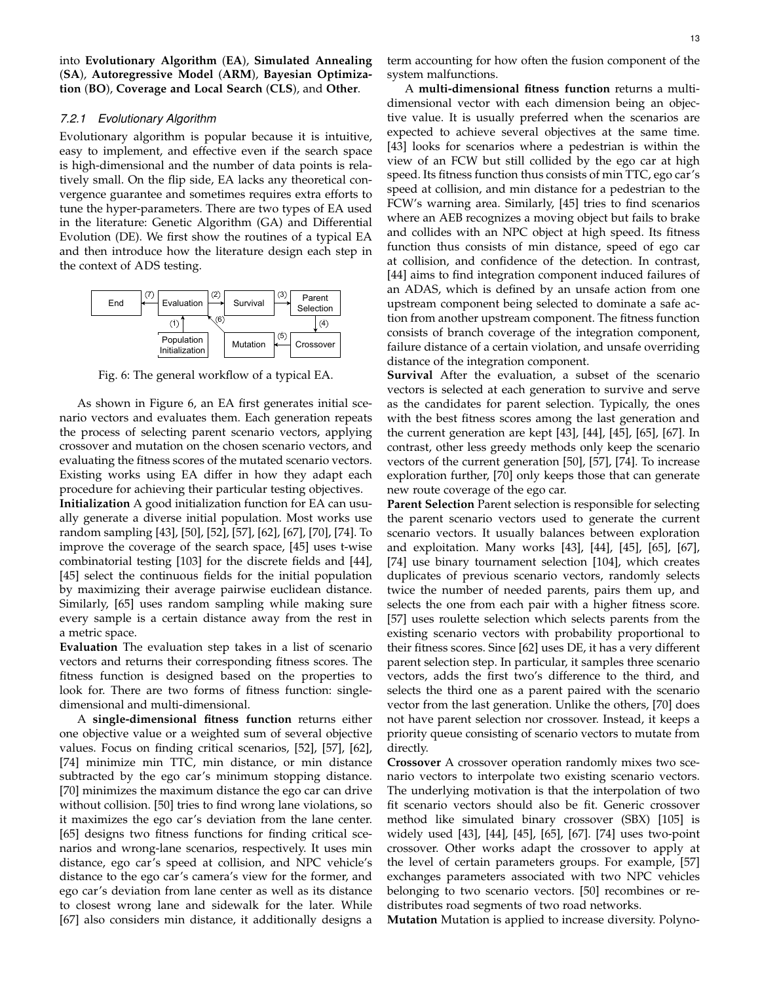into **Evolutionary Algorithm** (**EA**), **Simulated Annealing** (**SA**), **Autoregressive Model** (**ARM**), **Bayesian Optimization** (**BO**), **Coverage and Local Search** (**CLS**), and **Other**.

#### *7.2.1 Evolutionary Algorithm*

Evolutionary algorithm is popular because it is intuitive, easy to implement, and effective even if the search space is high-dimensional and the number of data points is relatively small. On the flip side, EA lacks any theoretical convergence guarantee and sometimes requires extra efforts to tune the hyper-parameters. There are two types of EA used in the literature: Genetic Algorithm (GA) and Differential Evolution (DE). We first show the routines of a typical EA and then introduce how the literature design each step in the context of ADS testing.



Fig. 6: The general workflow of a typical EA.

As shown in Figure 6, an EA first generates initial scenario vectors and evaluates them. Each generation repeats the process of selecting parent scenario vectors, applying crossover and mutation on the chosen scenario vectors, and evaluating the fitness scores of the mutated scenario vectors. Existing works using EA differ in how they adapt each procedure for achieving their particular testing objectives.

**Initialization** A good initialization function for EA can usually generate a diverse initial population. Most works use random sampling [43], [50], [52], [57], [62], [67], [70], [74]. To improve the coverage of the search space, [45] uses t-wise combinatorial testing [103] for the discrete fields and [44], [45] select the continuous fields for the initial population by maximizing their average pairwise euclidean distance. Similarly, [65] uses random sampling while making sure every sample is a certain distance away from the rest in a metric space.

**Evaluation** The evaluation step takes in a list of scenario vectors and returns their corresponding fitness scores. The fitness function is designed based on the properties to look for. There are two forms of fitness function: singledimensional and multi-dimensional.

A **single-dimensional fitness function** returns either one objective value or a weighted sum of several objective values. Focus on finding critical scenarios, [52], [57], [62], [74] minimize min TTC, min distance, or min distance subtracted by the ego car's minimum stopping distance. [70] minimizes the maximum distance the ego car can drive without collision. [50] tries to find wrong lane violations, so it maximizes the ego car's deviation from the lane center. [65] designs two fitness functions for finding critical scenarios and wrong-lane scenarios, respectively. It uses min distance, ego car's speed at collision, and NPC vehicle's distance to the ego car's camera's view for the former, and ego car's deviation from lane center as well as its distance to closest wrong lane and sidewalk for the later. While [67] also considers min distance, it additionally designs a

A **multi-dimensional fitness function** returns a multidimensional vector with each dimension being an objective value. It is usually preferred when the scenarios are expected to achieve several objectives at the same time. [43] looks for scenarios where a pedestrian is within the view of an FCW but still collided by the ego car at high speed. Its fitness function thus consists of min TTC, ego car's speed at collision, and min distance for a pedestrian to the FCW's warning area. Similarly, [45] tries to find scenarios where an AEB recognizes a moving object but fails to brake and collides with an NPC object at high speed. Its fitness function thus consists of min distance, speed of ego car at collision, and confidence of the detection. In contrast, [44] aims to find integration component induced failures of an ADAS, which is defined by an unsafe action from one upstream component being selected to dominate a safe action from another upstream component. The fitness function consists of branch coverage of the integration component, failure distance of a certain violation, and unsafe overriding distance of the integration component.

**Survival** After the evaluation, a subset of the scenario vectors is selected at each generation to survive and serve as the candidates for parent selection. Typically, the ones with the best fitness scores among the last generation and the current generation are kept [43], [44], [45], [65], [67]. In contrast, other less greedy methods only keep the scenario vectors of the current generation [50], [57], [74]. To increase exploration further, [70] only keeps those that can generate new route coverage of the ego car.

**Parent Selection** Parent selection is responsible for selecting the parent scenario vectors used to generate the current scenario vectors. It usually balances between exploration and exploitation. Many works [43], [44], [45], [65], [67], [74] use binary tournament selection [104], which creates duplicates of previous scenario vectors, randomly selects twice the number of needed parents, pairs them up, and selects the one from each pair with a higher fitness score. [57] uses roulette selection which selects parents from the existing scenario vectors with probability proportional to their fitness scores. Since [62] uses DE, it has a very different parent selection step. In particular, it samples three scenario vectors, adds the first two's difference to the third, and selects the third one as a parent paired with the scenario vector from the last generation. Unlike the others, [70] does not have parent selection nor crossover. Instead, it keeps a priority queue consisting of scenario vectors to mutate from directly.

**Crossover** A crossover operation randomly mixes two scenario vectors to interpolate two existing scenario vectors. The underlying motivation is that the interpolation of two fit scenario vectors should also be fit. Generic crossover method like simulated binary crossover (SBX) [105] is widely used [43], [44], [45], [65], [67]. [74] uses two-point crossover. Other works adapt the crossover to apply at the level of certain parameters groups. For example, [57] exchanges parameters associated with two NPC vehicles belonging to two scenario vectors. [50] recombines or redistributes road segments of two road networks.

**Mutation** Mutation is applied to increase diversity. Polyno-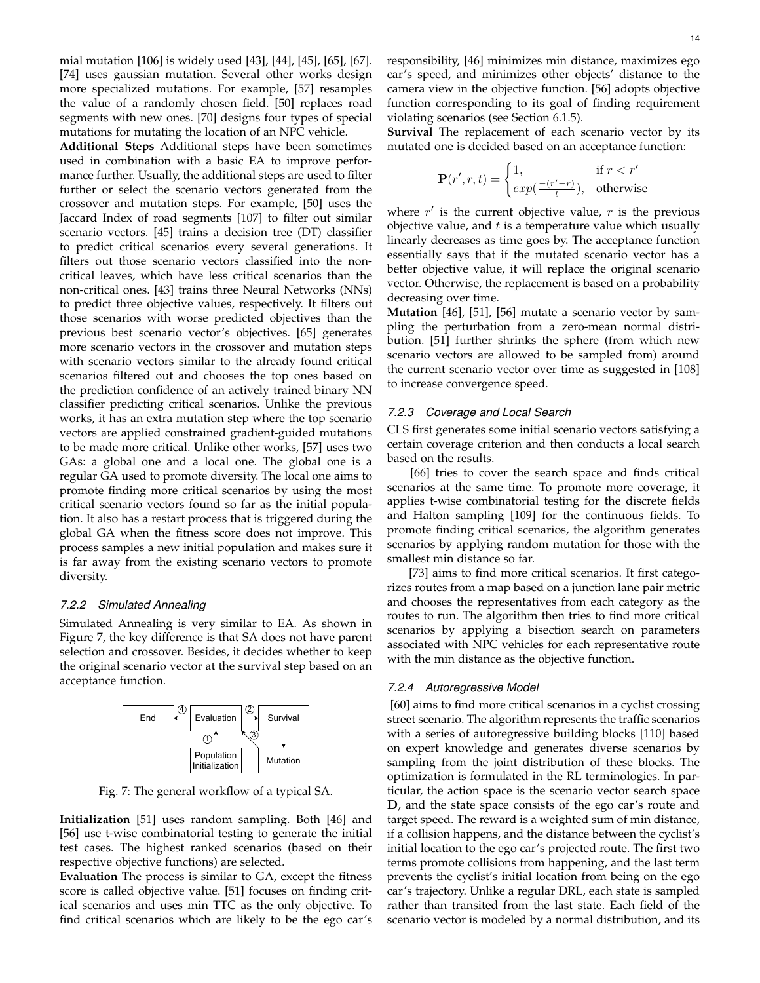mial mutation [106] is widely used [43], [44], [45], [65], [67]. [74] uses gaussian mutation. Several other works design more specialized mutations. For example, [57] resamples the value of a randomly chosen field. [50] replaces road segments with new ones. [70] designs four types of special mutations for mutating the location of an NPC vehicle.

**Additional Steps** Additional steps have been sometimes used in combination with a basic EA to improve performance further. Usually, the additional steps are used to filter further or select the scenario vectors generated from the crossover and mutation steps. For example, [50] uses the Jaccard Index of road segments [107] to filter out similar scenario vectors. [45] trains a decision tree (DT) classifier to predict critical scenarios every several generations. It filters out those scenario vectors classified into the noncritical leaves, which have less critical scenarios than the non-critical ones. [43] trains three Neural Networks (NNs) to predict three objective values, respectively. It filters out those scenarios with worse predicted objectives than the previous best scenario vector's objectives. [65] generates more scenario vectors in the crossover and mutation steps with scenario vectors similar to the already found critical scenarios filtered out and chooses the top ones based on the prediction confidence of an actively trained binary NN classifier predicting critical scenarios. Unlike the previous works, it has an extra mutation step where the top scenario vectors are applied constrained gradient-guided mutations to be made more critical. Unlike other works, [57] uses two GAs: a global one and a local one. The global one is a regular GA used to promote diversity. The local one aims to promote finding more critical scenarios by using the most critical scenario vectors found so far as the initial population. It also has a restart process that is triggered during the global GA when the fitness score does not improve. This process samples a new initial population and makes sure it is far away from the existing scenario vectors to promote diversity.

#### *7.2.2 Simulated Annealing*

Simulated Annealing is very similar to EA. As shown in Figure 7, the key difference is that SA does not have parent selection and crossover. Besides, it decides whether to keep the original scenario vector at the survival step based on an acceptance function.



Fig. 7: The general workflow of a typical SA.

**Initialization** [51] uses random sampling. Both [46] and [56] use t-wise combinatorial testing to generate the initial test cases. The highest ranked scenarios (based on their respective objective functions) are selected.

**Evaluation** The process is similar to GA, except the fitness score is called objective value. [51] focuses on finding critical scenarios and uses min TTC as the only objective. To find critical scenarios which are likely to be the ego car's responsibility, [46] minimizes min distance, maximizes ego car's speed, and minimizes other objects' distance to the camera view in the objective function. [56] adopts objective function corresponding to its goal of finding requirement violating scenarios (see Section 6.1.5).

**Survival** The replacement of each scenario vector by its mutated one is decided based on an acceptance function:

$$
\mathbf{P}(r', r, t) = \begin{cases} 1, & \text{if } r < r' \\ \exp\left(\frac{-(r'-r)}{t}\right), & \text{otherwise} \end{cases}
$$

where  $r'$  is the current objective value,  $r$  is the previous objective value, and  $t$  is a temperature value which usually linearly decreases as time goes by. The acceptance function essentially says that if the mutated scenario vector has a better objective value, it will replace the original scenario vector. Otherwise, the replacement is based on a probability decreasing over time.

**Mutation** [46], [51], [56] mutate a scenario vector by sampling the perturbation from a zero-mean normal distribution. [51] further shrinks the sphere (from which new scenario vectors are allowed to be sampled from) around the current scenario vector over time as suggested in [108] to increase convergence speed.

#### *7.2.3 Coverage and Local Search*

CLS first generates some initial scenario vectors satisfying a certain coverage criterion and then conducts a local search based on the results.

[66] tries to cover the search space and finds critical scenarios at the same time. To promote more coverage, it applies t-wise combinatorial testing for the discrete fields and Halton sampling [109] for the continuous fields. To promote finding critical scenarios, the algorithm generates scenarios by applying random mutation for those with the smallest min distance so far.

[73] aims to find more critical scenarios. It first categorizes routes from a map based on a junction lane pair metric and chooses the representatives from each category as the routes to run. The algorithm then tries to find more critical scenarios by applying a bisection search on parameters associated with NPC vehicles for each representative route with the min distance as the objective function.

#### *7.2.4 Autoregressive Model*

[60] aims to find more critical scenarios in a cyclist crossing street scenario. The algorithm represents the traffic scenarios with a series of autoregressive building blocks [110] based on expert knowledge and generates diverse scenarios by sampling from the joint distribution of these blocks. The optimization is formulated in the RL terminologies. In particular, the action space is the scenario vector search space D, and the state space consists of the ego car's route and target speed. The reward is a weighted sum of min distance, if a collision happens, and the distance between the cyclist's initial location to the ego car's projected route. The first two terms promote collisions from happening, and the last term prevents the cyclist's initial location from being on the ego car's trajectory. Unlike a regular DRL, each state is sampled rather than transited from the last state. Each field of the scenario vector is modeled by a normal distribution, and its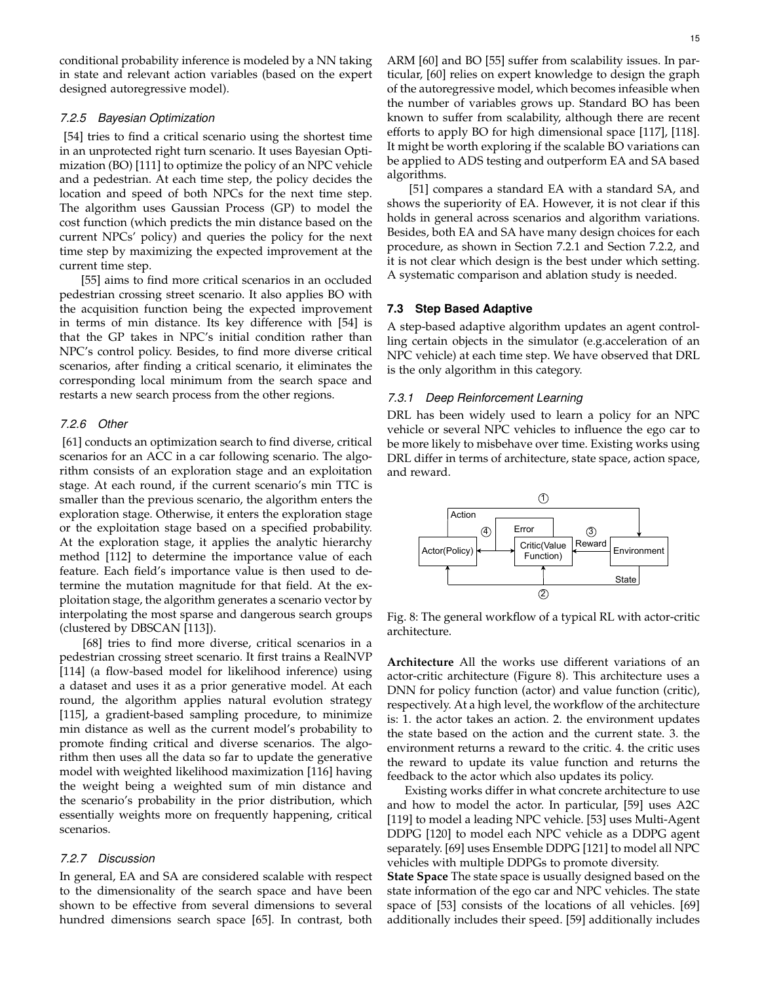conditional probability inference is modeled by a NN taking in state and relevant action variables (based on the expert designed autoregressive model).

#### *7.2.5 Bayesian Optimization*

[54] tries to find a critical scenario using the shortest time in an unprotected right turn scenario. It uses Bayesian Optimization (BO) [111] to optimize the policy of an NPC vehicle and a pedestrian. At each time step, the policy decides the location and speed of both NPCs for the next time step. The algorithm uses Gaussian Process (GP) to model the cost function (which predicts the min distance based on the current NPCs' policy) and queries the policy for the next time step by maximizing the expected improvement at the current time step.

[55] aims to find more critical scenarios in an occluded pedestrian crossing street scenario. It also applies BO with the acquisition function being the expected improvement in terms of min distance. Its key difference with [54] is that the GP takes in NPC's initial condition rather than NPC's control policy. Besides, to find more diverse critical scenarios, after finding a critical scenario, it eliminates the corresponding local minimum from the search space and restarts a new search process from the other regions.

#### *7.2.6 Other*

[61] conducts an optimization search to find diverse, critical scenarios for an ACC in a car following scenario. The algorithm consists of an exploration stage and an exploitation stage. At each round, if the current scenario's min TTC is smaller than the previous scenario, the algorithm enters the exploration stage. Otherwise, it enters the exploration stage or the exploitation stage based on a specified probability. At the exploration stage, it applies the analytic hierarchy method [112] to determine the importance value of each feature. Each field's importance value is then used to determine the mutation magnitude for that field. At the exploitation stage, the algorithm generates a scenario vector by interpolating the most sparse and dangerous search groups (clustered by DBSCAN [113]).

[68] tries to find more diverse, critical scenarios in a pedestrian crossing street scenario. It first trains a RealNVP [114] (a flow-based model for likelihood inference) using a dataset and uses it as a prior generative model. At each round, the algorithm applies natural evolution strategy [115], a gradient-based sampling procedure, to minimize min distance as well as the current model's probability to promote finding critical and diverse scenarios. The algorithm then uses all the data so far to update the generative model with weighted likelihood maximization [116] having the weight being a weighted sum of min distance and the scenario's probability in the prior distribution, which essentially weights more on frequently happening, critical scenarios.

#### *7.2.7 Discussion*

In general, EA and SA are considered scalable with respect to the dimensionality of the search space and have been shown to be effective from several dimensions to several hundred dimensions search space [65]. In contrast, both ARM [60] and BO [55] suffer from scalability issues. In particular, [60] relies on expert knowledge to design the graph of the autoregressive model, which becomes infeasible when the number of variables grows up. Standard BO has been known to suffer from scalability, although there are recent efforts to apply BO for high dimensional space [117], [118]. It might be worth exploring if the scalable BO variations can be applied to ADS testing and outperform EA and SA based algorithms.

[51] compares a standard EA with a standard SA, and shows the superiority of EA. However, it is not clear if this holds in general across scenarios and algorithm variations. Besides, both EA and SA have many design choices for each procedure, as shown in Section 7.2.1 and Section 7.2.2, and it is not clear which design is the best under which setting. A systematic comparison and ablation study is needed.

#### **7.3 Step Based Adaptive**

A step-based adaptive algorithm updates an agent controlling certain objects in the simulator (e.g.acceleration of an NPC vehicle) at each time step. We have observed that DRL is the only algorithm in this category.

#### *7.3.1 Deep Reinforcement Learning*

DRL has been widely used to learn a policy for an NPC vehicle or several NPC vehicles to influence the ego car to be more likely to misbehave over time. Existing works using DRL differ in terms of architecture, state space, action space, and reward.



Fig. 8: The general workflow of a typical RL with actor-critic architecture.

**Architecture** All the works use different variations of an actor-critic architecture (Figure 8). This architecture uses a DNN for policy function (actor) and value function (critic), respectively. At a high level, the workflow of the architecture is: 1. the actor takes an action. 2. the environment updates the state based on the action and the current state. 3. the environment returns a reward to the critic. 4. the critic uses the reward to update its value function and returns the feedback to the actor which also updates its policy.

Existing works differ in what concrete architecture to use and how to model the actor. In particular, [59] uses A2C [119] to model a leading NPC vehicle. [53] uses Multi-Agent DDPG [120] to model each NPC vehicle as a DDPG agent separately. [69] uses Ensemble DDPG [121] to model all NPC vehicles with multiple DDPGs to promote diversity.

**State Space** The state space is usually designed based on the state information of the ego car and NPC vehicles. The state space of [53] consists of the locations of all vehicles. [69] additionally includes their speed. [59] additionally includes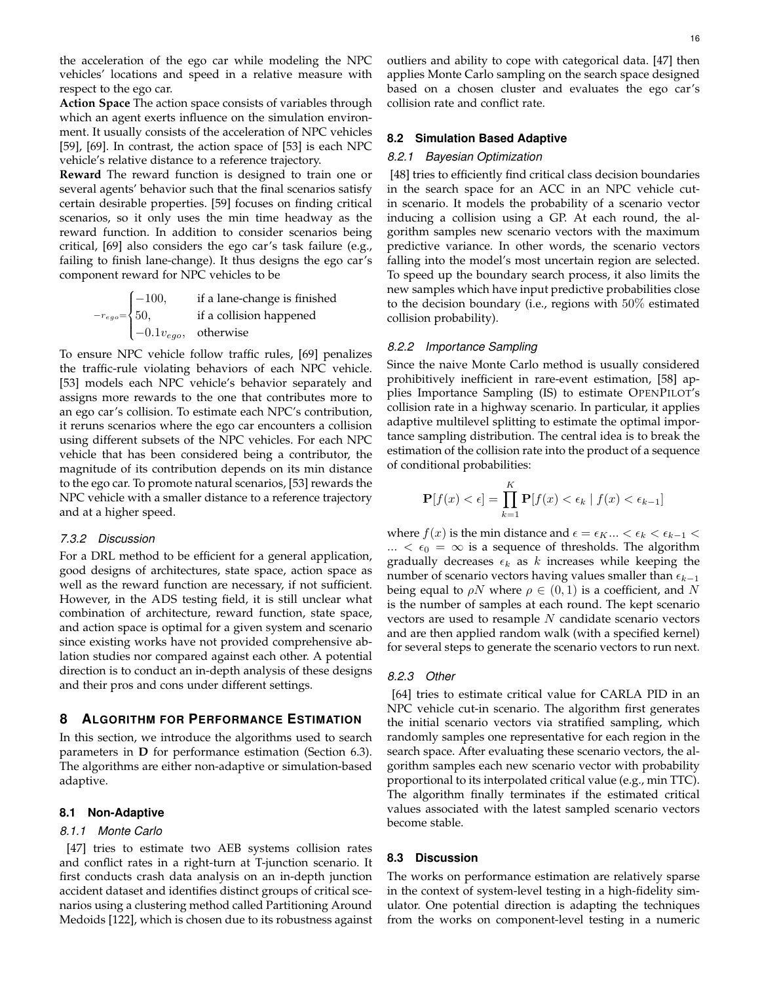the acceleration of the ego car while modeling the NPC vehicles' locations and speed in a relative measure with respect to the ego car.

**Action Space** The action space consists of variables through which an agent exerts influence on the simulation environment. It usually consists of the acceleration of NPC vehicles [59], [69]. In contrast, the action space of [53] is each NPC vehicle's relative distance to a reference trajectory.

**Reward** The reward function is designed to train one or several agents' behavior such that the final scenarios satisfy certain desirable properties. [59] focuses on finding critical scenarios, so it only uses the min time headway as the reward function. In addition to consider scenarios being critical, [69] also considers the ego car's task failure (e.g., failing to finish lane-change). It thus designs the ego car's component reward for NPC vehicles to be

$$
-r_{ego} = \begin{cases} -100, & \text{if a lane-change is finished} \\ 50, & \text{if a collision happened} \\ -0.1v_{ego}, & \text{otherwise} \end{cases}
$$

To ensure NPC vehicle follow traffic rules, [69] penalizes the traffic-rule violating behaviors of each NPC vehicle. [53] models each NPC vehicle's behavior separately and assigns more rewards to the one that contributes more to an ego car's collision. To estimate each NPC's contribution, it reruns scenarios where the ego car encounters a collision using different subsets of the NPC vehicles. For each NPC vehicle that has been considered being a contributor, the magnitude of its contribution depends on its min distance to the ego car. To promote natural scenarios, [53] rewards the NPC vehicle with a smaller distance to a reference trajectory and at a higher speed.

#### *7.3.2 Discussion*

For a DRL method to be efficient for a general application, good designs of architectures, state space, action space as well as the reward function are necessary, if not sufficient. However, in the ADS testing field, it is still unclear what combination of architecture, reward function, state space, and action space is optimal for a given system and scenario since existing works have not provided comprehensive ablation studies nor compared against each other. A potential direction is to conduct an in-depth analysis of these designs and their pros and cons under different settings.

## **8 ALGORITHM FOR PERFORMANCE ESTIMATION**

In this section, we introduce the algorithms used to search parameters in **D** for performance estimation (Section 6.3). The algorithms are either non-adaptive or simulation-based adaptive.

#### **8.1 Non-Adaptive**

#### *8.1.1 Monte Carlo*

[47] tries to estimate two AEB systems collision rates and conflict rates in a right-turn at T-junction scenario. It first conducts crash data analysis on an in-depth junction accident dataset and identifies distinct groups of critical scenarios using a clustering method called Partitioning Around Medoids [122], which is chosen due to its robustness against

outliers and ability to cope with categorical data. [47] then applies Monte Carlo sampling on the search space designed based on a chosen cluster and evaluates the ego car's collision rate and conflict rate.

#### **8.2 Simulation Based Adaptive**

#### *8.2.1 Bayesian Optimization*

[48] tries to efficiently find critical class decision boundaries in the search space for an ACC in an NPC vehicle cutin scenario. It models the probability of a scenario vector inducing a collision using a GP. At each round, the algorithm samples new scenario vectors with the maximum predictive variance. In other words, the scenario vectors falling into the model's most uncertain region are selected. To speed up the boundary search process, it also limits the new samples which have input predictive probabilities close to the decision boundary (i.e., regions with 50% estimated collision probability).

#### *8.2.2 Importance Sampling*

Since the naive Monte Carlo method is usually considered prohibitively inefficient in rare-event estimation, [58] applies Importance Sampling (IS) to estimate OPENPILOT's collision rate in a highway scenario. In particular, it applies adaptive multilevel splitting to estimate the optimal importance sampling distribution. The central idea is to break the estimation of the collision rate into the product of a sequence of conditional probabilities:

$$
\mathbf{P}[f(x) < \epsilon] = \prod_{k=1}^{K} \mathbf{P}[f(x) < \epsilon_k \mid f(x) < \epsilon_{k-1}]
$$

where  $f(x)$  is the min distance and  $\epsilon = \epsilon_K ... < \epsilon_k < \epsilon_{k-1}$ ...  $\langle \epsilon_0 = \infty \rangle$  is a sequence of thresholds. The algorithm gradually decreases  $\epsilon_k$  as k increases while keeping the number of scenario vectors having values smaller than  $\epsilon_{k-1}$ being equal to  $\rho N$  where  $\rho \in (0,1)$  is a coefficient, and N is the number of samples at each round. The kept scenario vectors are used to resample  $N$  candidate scenario vectors and are then applied random walk (with a specified kernel) for several steps to generate the scenario vectors to run next.

#### *8.2.3 Other*

[64] tries to estimate critical value for CARLA PID in an NPC vehicle cut-in scenario. The algorithm first generates the initial scenario vectors via stratified sampling, which randomly samples one representative for each region in the search space. After evaluating these scenario vectors, the algorithm samples each new scenario vector with probability proportional to its interpolated critical value (e.g., min TTC). The algorithm finally terminates if the estimated critical values associated with the latest sampled scenario vectors become stable.

#### **8.3 Discussion**

The works on performance estimation are relatively sparse in the context of system-level testing in a high-fidelity simulator. One potential direction is adapting the techniques from the works on component-level testing in a numeric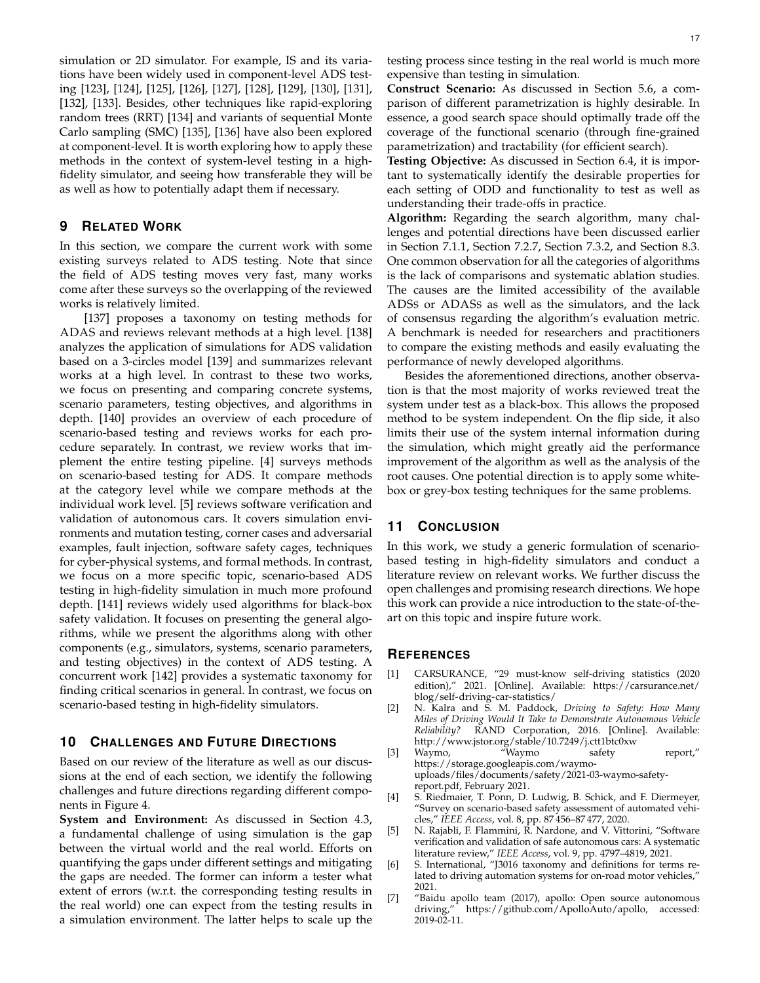simulation or 2D simulator. For example, IS and its variations have been widely used in component-level ADS testing [123], [124], [125], [126], [127], [128], [129], [130], [131], [132], [133]. Besides, other techniques like rapid-exploring random trees (RRT) [134] and variants of sequential Monte Carlo sampling (SMC) [135], [136] have also been explored at component-level. It is worth exploring how to apply these methods in the context of system-level testing in a highfidelity simulator, and seeing how transferable they will be as well as how to potentially adapt them if necessary.

## **9 RELATED WORK**

In this section, we compare the current work with some existing surveys related to ADS testing. Note that since the field of ADS testing moves very fast, many works come after these surveys so the overlapping of the reviewed works is relatively limited.

[137] proposes a taxonomy on testing methods for ADAS and reviews relevant methods at a high level. [138] analyzes the application of simulations for ADS validation based on a 3-circles model [139] and summarizes relevant works at a high level. In contrast to these two works, we focus on presenting and comparing concrete systems, scenario parameters, testing objectives, and algorithms in depth. [140] provides an overview of each procedure of scenario-based testing and reviews works for each procedure separately. In contrast, we review works that implement the entire testing pipeline. [4] surveys methods on scenario-based testing for ADS. It compare methods at the category level while we compare methods at the individual work level. [5] reviews software verification and validation of autonomous cars. It covers simulation environments and mutation testing, corner cases and adversarial examples, fault injection, software safety cages, techniques for cyber-physical systems, and formal methods. In contrast, we focus on a more specific topic, scenario-based ADS testing in high-fidelity simulation in much more profound depth. [141] reviews widely used algorithms for black-box safety validation. It focuses on presenting the general algorithms, while we present the algorithms along with other components (e.g., simulators, systems, scenario parameters, and testing objectives) in the context of ADS testing. A concurrent work [142] provides a systematic taxonomy for finding critical scenarios in general. In contrast, we focus on scenario-based testing in high-fidelity simulators.

#### **10 CHALLENGES AND FUTURE DIRECTIONS**

Based on our review of the literature as well as our discussions at the end of each section, we identify the following challenges and future directions regarding different components in Figure 4.

**System and Environment:** As discussed in Section 4.3, a fundamental challenge of using simulation is the gap between the virtual world and the real world. Efforts on quantifying the gaps under different settings and mitigating the gaps are needed. The former can inform a tester what extent of errors (w.r.t. the corresponding testing results in the real world) one can expect from the testing results in a simulation environment. The latter helps to scale up the **Construct Scenario:** As discussed in Section 5.6, a comparison of different parametrization is highly desirable. In essence, a good search space should optimally trade off the coverage of the functional scenario (through fine-grained parametrization) and tractability (for efficient search).

**Testing Objective:** As discussed in Section 6.4, it is important to systematically identify the desirable properties for each setting of ODD and functionality to test as well as understanding their trade-offs in practice.

**Algorithm:** Regarding the search algorithm, many challenges and potential directions have been discussed earlier in Section 7.1.1, Section 7.2.7, Section 7.3.2, and Section 8.3. One common observation for all the categories of algorithms is the lack of comparisons and systematic ablation studies. The causes are the limited accessibility of the available ADSS or ADASS as well as the simulators, and the lack of consensus regarding the algorithm's evaluation metric. A benchmark is needed for researchers and practitioners to compare the existing methods and easily evaluating the performance of newly developed algorithms.

Besides the aforementioned directions, another observation is that the most majority of works reviewed treat the system under test as a black-box. This allows the proposed method to be system independent. On the flip side, it also limits their use of the system internal information during the simulation, which might greatly aid the performance improvement of the algorithm as well as the analysis of the root causes. One potential direction is to apply some whitebox or grey-box testing techniques for the same problems.

## **11 CONCLUSION**

In this work, we study a generic formulation of scenariobased testing in high-fidelity simulators and conduct a literature review on relevant works. We further discuss the open challenges and promising research directions. We hope this work can provide a nice introduction to the state-of-theart on this topic and inspire future work.

#### **REFERENCES**

- [1] CARSURANCE, "29 must-know self-driving statistics (2020 edition)," 2021. [Online]. Available: https://carsurance.net/ blog/self-driving-car-statistics/
- [2] N. Kalra and S. M. Paddock, *Driving to Safety: How Many Miles of Driving Would It Take to Demonstrate Autonomous Vehicle Reliability?* RAND Corporation, 2016. [Online]. Available: http://www.jstor.org/stable/10.7249/j.ctt1btc0xw
- [3] Waymo, "Waymo safety report," https://storage.googleapis.com/waymouploads/files/documents/safety/2021-03-waymo-safetyreport.pdf, February 2021.
- [4] S. Riedmaier, T. Ponn, D. Ludwig, B. Schick, and F. Diermeyer, "Survey on scenario-based safety assessment of automated vehicles," *IEEE Access*, vol. 8, pp. 87 456–87 477, 2020.
- [5] N. Rajabli, F. Flammini, R. Nardone, and V. Vittorini, "Software verification and validation of safe autonomous cars: A systematic literature review," *IEEE Access*, vol. 9, pp. 4797–4819, 2021.
- [6] S. International, "J3016 taxonomy and definitions for terms related to driving automation systems for on-road motor vehicles," 2021.
- [7] "Baidu apollo team (2017), apollo: Open source autonomous https://github.com/ApolloAuto/apollo, accessed: 2019-02-11.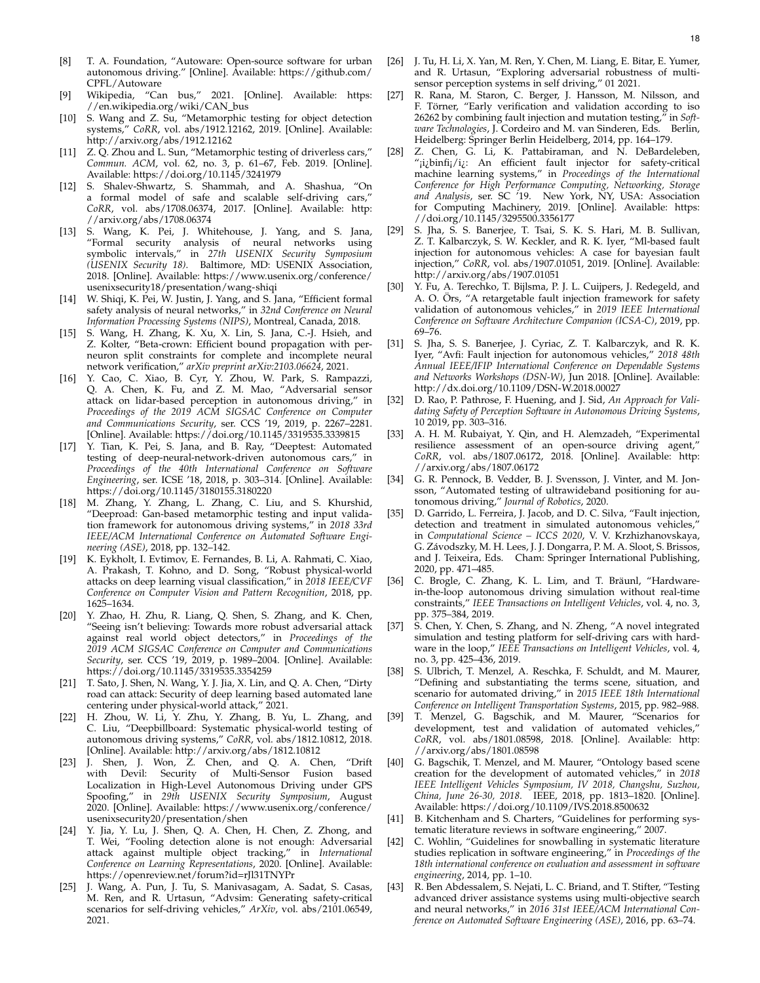- [8] T. A. Foundation, "Autoware: Open-source software for urban autonomous driving." [Online]. Available: https://github.com/ CPFL/Autoware
- [9] Wikipedia, "Can bus," 2021. [Online]. Available: https: //en.wikipedia.org/wiki/CAN\_bus
- [10] S. Wang and Z. Su, "Metamorphic testing for object detection systems," *CoRR*, vol. abs/1912.12162, 2019. [Online]. Available: http://arxiv.org/abs/1912.12162
- [11] Z. Q. Zhou and L. Sun, "Metamorphic testing of driverless cars," *Commun. ACM*, vol. 62, no. 3, p. 61–67, Feb. 2019. [Online]. Available: https://doi.org/10.1145/3241979
- [12] S. Shalev-Shwartz, S. Shammah, and A. Shashua, "On a formal model of safe and scalable self-driving cars," *CoRR*, vol. abs/1708.06374, 2017. [Online]. Available: http: //arxiv.org/abs/1708.06374
- [13] S. Wang, K. Pei, J. Whitehouse, J. Yang, and S. Jana, "Formal security analysis of neural networks using symbolic intervals," in *27th USENIX Security Symposium (USENIX Security 18)*. Baltimore, MD: USENIX Association, 2018. [Online]. Available: https://www.usenix.org/conference/ usenixsecurity18/presentation/wang-shiqi
- [14] W. Shiqi, K. Pei, W. Justin, J. Yang, and S. Jana, "Efficient formal safety analysis of neural networks," in *32nd Conference on Neural Information Processing Systems (NIPS)*, Montreal, Canada, 2018.
- [15] S. Wang, H. Zhang, K. Xu, X. Lin, S. Jana, C.-J. Hsieh, and Z. Kolter, "Beta-crown: Efficient bound propagation with perneuron split constraints for complete and incomplete neural network verification," *arXiv preprint arXiv:2103.06624*, 2021.
- [16] Y. Cao, C. Xiao, B. Cyr, Y. Zhou, W. Park, S. Rampazzi, Q. A. Chen, K. Fu, and Z. M. Mao, "Adversarial sensor attack on lidar-based perception in autonomous driving," in *Proceedings of the 2019 ACM SIGSAC Conference on Computer and Communications Security*, ser. CCS '19, 2019, p. 2267–2281. [Online]. Available: https://doi.org/10.1145/3319535.3339815
- [17] Y. Tian, K. Pei, S. Jana, and B. Ray, "Deeptest: Automated testing of deep-neural-network-driven autonomous cars," in *Proceedings of the 40th International Conference on Software Engineering*, ser. ICSE '18, 2018, p. 303–314. [Online]. Available: https://doi.org/10.1145/3180155.3180220
- [18] M. Zhang, Y. Zhang, L. Zhang, C. Liu, and S. Khurshid, "Deeproad: Gan-based metamorphic testing and input validation framework for autonomous driving systems," in *2018 33rd IEEE/ACM International Conference on Automated Software Engineering (ASE)*, 2018, pp. 132–142.
- [19] K. Eykholt, I. Evtimov, E. Fernandes, B. Li, A. Rahmati, C. Xiao, A. Prakash, T. Kohno, and D. Song, "Robust physical-world attacks on deep learning visual classification," in *2018 IEEE/CVF Conference on Computer Vision and Pattern Recognition*, 2018, pp. 1625–1634.
- [20] Y. Zhao, H. Zhu, R. Liang, Q. Shen, S. Zhang, and K. Chen, "Seeing isn't believing: Towards more robust adversarial attack against real world object detectors," in *Proceedings of the 2019 ACM SIGSAC Conference on Computer and Communications Security*, ser. CCS '19, 2019, p. 1989–2004. [Online]. Available: https://doi.org/10.1145/3319535.3354259
- [21] T. Sato, J. Shen, N. Wang, Y. J. Jia, X. Lin, and Q. A. Chen, "Dirty road can attack: Security of deep learning based automated lane centering under physical-world attack," 2021.
- H. Zhou, W. Li, Y. Zhu, Y. Zhang, B. Yu, L. Zhang, and C. Liu, "Deepbillboard: Systematic physical-world testing of autonomous driving systems," *CoRR*, vol. abs/1812.10812, 2018. [Online]. Available: http://arxiv.org/abs/1812.10812
- [23] J. Shen, J. Won, Z. Chen, and Q. A. Chen, "Drift with Devil: Security of Multi-Sensor Fusion based Localization in High-Level Autonomous Driving under GPS Spoofing," in *29th USENIX Security Symposium*, August 2020. [Online]. Available: https://www.usenix.org/conference/ usenixsecurity20/presentation/shen
- [24] Y. Jia, Y. Lu, J. Shen, Q. A. Chen, H. Chen, Z. Zhong, and T. Wei, "Fooling detection alone is not enough: Adversarial attack against multiple object tracking," in *International Conference on Learning Representations*, 2020. [Online]. Available: https://openreview.net/forum?id=rJl31TNYPr
- [25] J. Wang, A. Pun, J. Tu, S. Manivasagam, A. Sadat, S. Casas, M. Ren, and R. Urtasun, "Advsim: Generating safety-critical scenarios for self-driving vehicles," *ArXiv*, vol. abs/2101.06549, 2021.
- [26] J. Tu, H. Li, X. Yan, M. Ren, Y. Chen, M. Liang, E. Bitar, E. Yumer, and R. Urtasun, "Exploring adversarial robustness of multisensor perception systems in self driving," 01 2021.
- [27] R. Rana, M. Staron, C. Berger, J. Hansson, M. Nilsson, and F. Törner, "Early verification and validation according to iso 26262 by combining fault injection and mutation testing," in *Software Technologies*, J. Cordeiro and M. van Sinderen, Eds. Berlin, Heidelberg: Springer Berlin Heidelberg, 2014, pp. 164–179.
- [28] Z. Chen, G. Li, K. Pattabiraman, and N. DeBardeleben, "¡i¿binfi¡/i¿: An efficient fault injector for safety-critical machine learning systems," in *Proceedings of the International Conference for High Performance Computing, Networking, Storage and Analysis*, ser. SC '19. New York, NY, USA: Association for Computing Machinery, 2019. [Online]. Available: https: //doi.org/10.1145/3295500.3356177
- [29] S. Jha, S. S. Banerjee, T. Tsai, S. K. S. Hari, M. B. Sullivan, Z. T. Kalbarczyk, S. W. Keckler, and R. K. Iyer, "Ml-based fault injection for autonomous vehicles: A case for bayesian fault injection," *CoRR*, vol. abs/1907.01051, 2019. [Online]. Available: http://arxiv.org/abs/1907.01051
- [30] Y. Fu, A. Terechko, T. Bijlsma, P. J. L. Cuijpers, J. Redegeld, and A. O. Örs, "A retargetable fault injection framework for safety validation of autonomous vehicles," in *2019 IEEE International Conference on Software Architecture Companion (ICSA-C)*, 2019, pp. 69–76.
- [31] S. Jha, S. S. Banerjee, J. Cyriac, Z. T. Kalbarczyk, and R. K. Iyer, "Avfi: Fault injection for autonomous vehicles," *2018 48th Annual IEEE/IFIP International Conference on Dependable Systems and Networks Workshops (DSN-W)*, Jun 2018. [Online]. Available: http://dx.doi.org/10.1109/DSN-W.2018.00027
- [32] D. Rao, P. Pathrose, F. Huening, and J. Sid, *An Approach for Validating Safety of Perception Software in Autonomous Driving Systems*, 10 2019, pp. 303–316.
- [33] A. H. M. Rubaiyat, Y. Qin, and H. Alemzadeh, "Experimental resilience assessment of an open-source driving agent," *CoRR*, vol. abs/1807.06172, 2018. [Online]. Available: http: //arxiv.org/abs/1807.06172
- [34] G. R. Pennock, B. Vedder, B. J. Svensson, J. Vinter, and M. Jonsson, "Automated testing of ultrawideband positioning for autonomous driving," *Journal of Robotics*, 2020.
- [35] D. Garrido, L. Ferreira, J. Jacob, and D. C. Silva, "Fault injection, detection and treatment in simulated autonomous vehicles, in *Computational Science – ICCS 2020*, V. V. Krzhizhanovskaya, G. Zavodszky, M. H. Lees, J. J. Dongarra, P. M. A. Sloot, S. Brissos, ´ and J. Teixeira, Eds. Cham: Springer International Publishing, 2020, pp. 471–485.
- [36] C. Brogle, C. Zhang, K. L. Lim, and T. Bräunl, "Hardwarein-the-loop autonomous driving simulation without real-time constraints," *IEEE Transactions on Intelligent Vehicles*, vol. 4, no. 3, pp. 375–384, 2019.
- [37] S. Chen, Y. Chen, S. Zhang, and N. Zheng, "A novel integrated simulation and testing platform for self-driving cars with hardware in the loop," *IEEE Transactions on Intelligent Vehicles*, vol. 4, no. 3, pp. 425–436, 2019.
- [38] S. Ulbrich, T. Menzel, A. Reschka, F. Schuldt, and M. Maurer, "Defining and substantiating the terms scene, situation, and scenario for automated driving," in *2015 IEEE 18th International Conference on Intelligent Transportation Systems*, 2015, pp. 982–988.
- [39] T. Menzel, G. Bagschik, and M. Maurer, "Scenarios for development, test and validation of automated vehicles," *CoRR*, vol. abs/1801.08598, 2018. [Online]. Available: http: //arxiv.org/abs/1801.08598
- [40] G. Bagschik, T. Menzel, and M. Maurer, "Ontology based scene creation for the development of automated vehicles," in *2018 IEEE Intelligent Vehicles Symposium, IV 2018, Changshu, Suzhou, China, June 26-30, 2018*. IEEE, 2018, pp. 1813–1820. [Online]. Available: https://doi.org/10.1109/IVS.2018.8500632
- [41] B. Kitchenham and S. Charters, "Guidelines for performing systematic literature reviews in software engineering," 2007.
- [42] C. Wohlin, "Guidelines for snowballing in systematic literature studies replication in software engineering," in *Proceedings of the 18th international conference on evaluation and assessment in software engineering*, 2014, pp. 1–10.
- [43] R. Ben Abdessalem, S. Nejati, L. C. Briand, and T. Stifter, "Testing advanced driver assistance systems using multi-objective search and neural networks," in *2016 31st IEEE/ACM International Conference on Automated Software Engineering (ASE)*, 2016, pp. 63–74.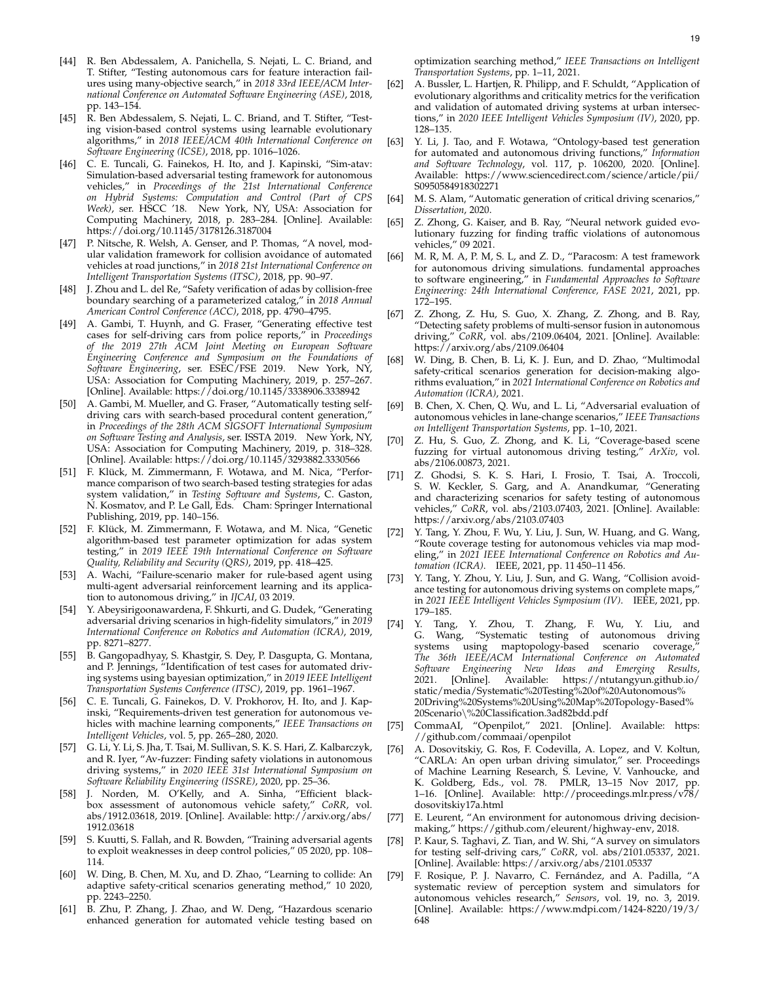- [44] R. Ben Abdessalem, A. Panichella, S. Nejati, L. C. Briand, and T. Stifter, "Testing autonomous cars for feature interaction failures using many-objective search," in *2018 33rd IEEE/ACM International Conference on Automated Software Engineering (ASE)*, 2018, pp. 143–154.
- [45] R. Ben Abdessalem, S. Nejati, L. C. Briand, and T. Stifter, "Testing vision-based control systems using learnable evolutionary algorithms," in *2018 IEEE/ACM 40th International Conference on Software Engineering (ICSE)*, 2018, pp. 1016–1026.
- [46] C. E. Tuncali, G. Fainekos, H. Ito, and J. Kapinski, "Sim-atav: Simulation-based adversarial testing framework for autonomous vehicles," in *Proceedings of the 21st International Conference on Hybrid Systems: Computation and Control (Part of CPS Week)*, ser. HSCC '18. New York, NY, USA: Association for Computing Machinery, 2018, p. 283–284. [Online]. Available: https://doi.org/10.1145/3178126.3187004
- [47] P. Nitsche, R. Welsh, A. Genser, and P. Thomas, "A novel, modular validation framework for collision avoidance of automated vehicles at road junctions," in *2018 21st International Conference on Intelligent Transportation Systems (ITSC)*, 2018, pp. 90–97.
- [48] J. Zhou and L. del Re, "Safety verification of adas by collision-free boundary searching of a parameterized catalog," in *2018 Annual American Control Conference (ACC)*, 2018, pp. 4790–4795.
- [49] A. Gambi, T. Huynh, and G. Fraser, "Generating effective test cases for self-driving cars from police reports," in *Proceedings of the 2019 27th ACM Joint Meeting on European Software Engineering Conference and Symposium on the Foundations of Software Engineering*, ser. ESEC/FSE 2019. New York, NY, USA: Association for Computing Machinery, 2019, p. 257–267. [Online]. Available: https://doi.org/10.1145/3338906.3338942
- [50] A. Gambi, M. Mueller, and G. Fraser, "Automatically testing selfdriving cars with search-based procedural content generation," in *Proceedings of the 28th ACM SIGSOFT International Symposium on Software Testing and Analysis*, ser. ISSTA 2019. New York, NY, USA: Association for Computing Machinery, 2019, p. 318–328. [Online]. Available: https://doi.org/10.1145/3293882.3330566
- [51] F. Klück, M. Zimmermann, F. Wotawa, and M. Nica, "Performance comparison of two search-based testing strategies for adas system validation," in *Testing Software and Systems*, C. Gaston, N. Kosmatov, and P. Le Gall, Eds. Cham: Springer International Publishing, 2019, pp. 140–156.
- [52] F. Klück, M. Zimmermann, F. Wotawa, and M. Nica, "Genetic algorithm-based test parameter optimization for adas system testing," in *2019 IEEE 19th International Conference on Software Quality, Reliability and Security (QRS)*, 2019, pp. 418–425.
- [53] A. Wachi, "Failure-scenario maker for rule-based agent using multi-agent adversarial reinforcement learning and its application to autonomous driving," in *IJCAI*, 03 2019.
- [54] Y. Abeysirigoonawardena, F. Shkurti, and G. Dudek, "Generating adversarial driving scenarios in high-fidelity simulators," in *2019 International Conference on Robotics and Automation (ICRA)*, 2019, pp. 8271–8277.
- [55] B. Gangopadhyay, S. Khastgir, S. Dey, P. Dasgupta, G. Montana, and P. Jennings, "Identification of test cases for automated driving systems using bayesian optimization," in *2019 IEEE Intelligent Transportation Systems Conference (ITSC)*, 2019, pp. 1961–1967.
- [56] C. E. Tuncali, G. Fainekos, D. V. Prokhorov, H. Ito, and J. Kapinski, "Requirements-driven test generation for autonomous vehicles with machine learning components," *IEEE Transactions on Intelligent Vehicles*, vol. 5, pp. 265–280, 2020.
- [57] G. Li, Y. Li, S. Jha, T. Tsai, M. Sullivan, S. K. S. Hari, Z. Kalbarczyk, and R. Iyer, "Av-fuzzer: Finding safety violations in autonomous driving systems," in *2020 IEEE 31st International Symposium on Software Reliability Engineering (ISSRE)*, 2020, pp. 25–36.
- [58] J. Norden, M. O'Kelly, and A. Sinha, "Efficient blackbox assessment of autonomous vehicle safety," *CoRR*, vol. abs/1912.03618, 2019. [Online]. Available: http://arxiv.org/abs/ 1912.03618
- [59] S. Kuutti, S. Fallah, and R. Bowden, "Training adversarial agents to exploit weaknesses in deep control policies," 05 2020, pp. 108– 114.
- [60] W. Ding, B. Chen, M. Xu, and D. Zhao, "Learning to collide: An adaptive safety-critical scenarios generating method," 10 2020, pp. 2243–2250.
- [61] B. Zhu, P. Zhang, J. Zhao, and W. Deng, "Hazardous scenario enhanced generation for automated vehicle testing based on

optimization searching method," *IEEE Transactions on Intelligent Transportation Systems*, pp. 1–11, 2021.

- [62] A. Bussler, L. Hartjen, R. Philipp, and F. Schuldt, "Application of evolutionary algorithms and criticality metrics for the verification and validation of automated driving systems at urban intersections," in *2020 IEEE Intelligent Vehicles Symposium (IV)*, 2020, pp. 128–135.
- [63] Y. Li, J. Tao, and F. Wotawa, "Ontology-based test generation for automated and autonomous driving functions," *Information and Software Technology*, vol. 117, p. 106200, 2020. [Online]. Available: https://www.sciencedirect.com/science/article/pii/ S0950584918302271
- M. S. Alam, "Automatic generation of critical driving scenarios," *Dissertation*, 2020.
- [65] Z. Zhong, G. Kaiser, and B. Ray, "Neural network guided evolutionary fuzzing for finding traffic violations of autonomous vehicles," 09 2021.
- [66] M. R, M. A, P. M, S. L, and Z. D., "Paracosm: A test framework for autonomous driving simulations. fundamental approaches to software engineering," in *Fundamental Approaches to Software Engineering: 24th International Conference, FASE 2021*, 2021, pp. 172–195.
- [67] Z. Zhong, Z. Hu, S. Guo, X. Zhang, Z. Zhong, and B. Ray, "Detecting safety problems of multi-sensor fusion in autonomous driving," *CoRR*, vol. abs/2109.06404, 2021. [Online]. Available: https://arxiv.org/abs/2109.06404
- [68] W. Ding, B. Chen, B. Li, K. J. Eun, and D. Zhao, "Multimodal safety-critical scenarios generation for decision-making algorithms evaluation," in *2021 International Conference on Robotics and Automation (ICRA)*, 2021.
- [69] B. Chen, X. Chen, O. Wu, and L. Li, "Adversarial evaluation of autonomous vehicles in lane-change scenarios," *IEEE Transactions on Intelligent Transportation Systems*, pp. 1–10, 2021.
- [70] Z. Hu, S. Guo, Z. Zhong, and K. Li, "Coverage-based scene fuzzing for virtual autonomous driving testing," *ArXiv*, vol. abs/2106.00873, 2021.
- [71] Z. Ghodsi, S. K. S. Hari, I. Frosio, T. Tsai, A. Troccoli, S. W. Keckler, S. Garg, and A. Anandkumar, "Generating and characterizing scenarios for safety testing of autonomous vehicles," *CoRR*, vol. abs/2103.07403, 2021. [Online]. Available: https://arxiv.org/abs/2103.07403
- [72] Y. Tang, Y. Zhou, F. Wu, Y. Liu, J. Sun, W. Huang, and G. Wang, "Route coverage testing for autonomous vehicles via map modeling," in *2021 IEEE International Conference on Robotics and Automation (ICRA)*. IEEE, 2021, pp. 11 450–11 456.
- [73] Y. Tang, Y. Zhou, Y. Liu, J. Sun, and G. Wang, "Collision avoidance testing for autonomous driving systems on complete maps," in *2021 IEEE Intelligent Vehicles Symposium (IV)*. IEEE, 2021, pp. 179–185.
- [74] Y. Tang, Y. Zhou, T. Zhang, F. Wu, Y. Liu, and G. Wang, "Systematic testing of autonomous driving systems using maptopology-based scenario coverage, *The 36th IEEE/ACM International Conference on Automated Software Engineering New Ideas and Emerging Results*, 2021. [Online]. Available: https://ntutangyun.github.io/ static/media/Systematic%20Testing%20of%20Autonomous% 20Driving%20Systems%20Using%20Map%20Topology-Based% 20Scenario\%20Classification.3ad82bdd.pdf
- [75] CommaAI, "Openpilot," 2021. [Online]. Available: https: //github.com/commaai/openpilot
- [76] A. Dosovitskiy, G. Ros, F. Codevilla, A. Lopez, and V. Koltun, "CARLA: An open urban driving simulator," ser. Proceedings of Machine Learning Research, S. Levine, V. Vanhoucke, and K. Goldberg, Eds., vol. 78. PMLR, 13–15 Nov 2017, pp. 1–16. [Online]. Available: http://proceedings.mlr.press/v78/ dosovitskiy17a.html
- [77] E. Leurent, "An environment for autonomous driving decisionmaking," https://github.com/eleurent/highway-env, 2018.
- [78] P. Kaur, S. Taghavi, Z. Tian, and W. Shi, "A survey on simulators for testing self-driving cars," *CoRR*, vol. abs/2101.05337, 2021. [Online]. Available: https://arxiv.org/abs/2101.05337
- [79] F. Rosique, P. J. Navarro, C. Fernández, and A. Padilla, "A systematic review of perception system and simulators for autonomous vehicles research," *Sensors*, vol. 19, no. 3, 2019. [Online]. Available: https://www.mdpi.com/1424-8220/19/3/ 648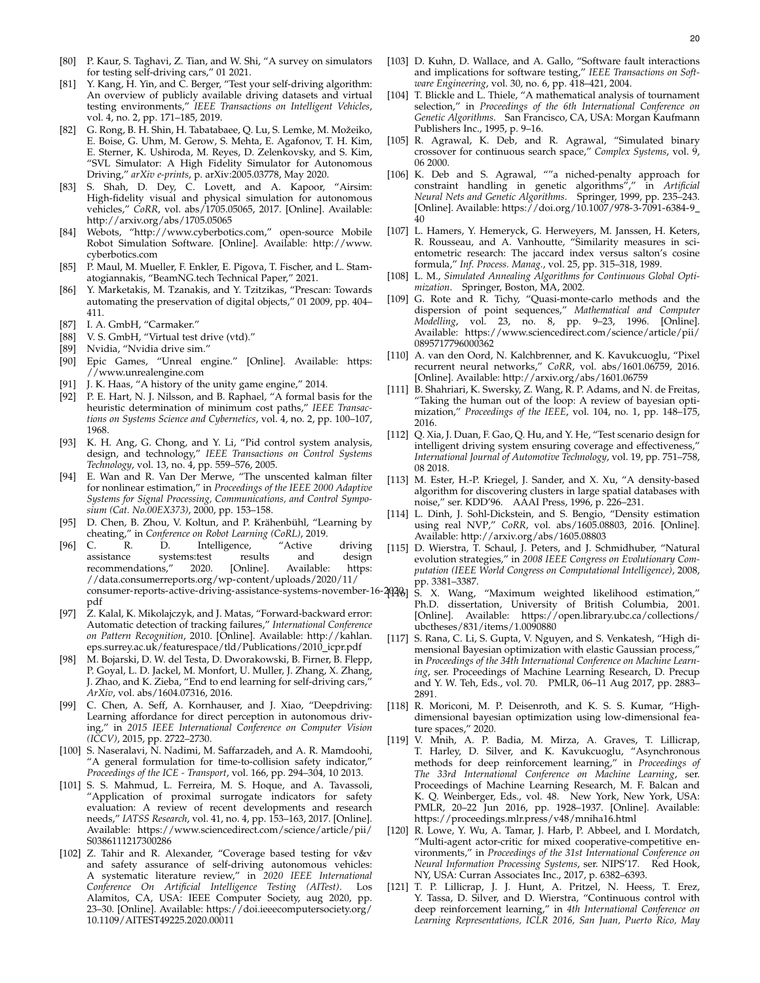- [80] P. Kaur, S. Taghavi, Z. Tian, and W. Shi, "A survey on simulators for testing self-driving cars," 01 2021.
- [81] Y. Kang, H. Yin, and C. Berger, "Test your self-driving algorithm: An overview of publicly available driving datasets and virtual testing environments," *IEEE Transactions on Intelligent Vehicles*, vol. 4, no. 2, pp. 171–185, 2019.
- [82] G. Rong, B. H. Shin, H. Tabatabaee, Q. Lu, S. Lemke, M. Možeiko, E. Boise, G. Uhm, M. Gerow, S. Mehta, E. Agafonov, T. H. Kim, E. Sterner, K. Ushiroda, M. Reyes, D. Zelenkovsky, and S. Kim, "SVL Simulator: A High Fidelity Simulator for Autonomous Driving," *arXiv e-prints*, p. arXiv:2005.03778, May 2020.
- [83] S. Shah, D. Dey, C. Lovett, and A. Kapoor, "Airsim: High-fidelity visual and physical simulation for autonomous vehicles," *CoRR*, vol. abs/1705.05065, 2017. [Online]. Available: http://arxiv.org/abs/1705.05065
- Webots, "http://www.cyberbotics.com," open-source Mobile Robot Simulation Software. [Online]. Available: http://www. cyberbotics.com
- [85] P. Maul, M. Mueller, F. Enkler, E. Pigova, T. Fischer, and L. Stamatogiannakis, "BeamNG.tech Technical Paper," 2021.
- [86] Y. Marketakis, M. Tzanakis, and Y. Tzitzikas, "Prescan: Towards automating the preservation of digital objects," 01 2009, pp. 404– 411.
- [87] I. A. GmbH, "Carmaker."
- [88] V. S. GmbH, "Virtual test drive (vtd)."
- [89] Nvidia, "Nvidia drive sim."
- [90] Epic Games, "Unreal engine." [Online]. Available: https: //www.unrealengine.com
- [91] J. K. Haas, "A history of the unity game engine," 2014.
- [92] P. E. Hart, N. J. Nilsson, and B. Raphael, "A formal basis for the heuristic determination of minimum cost paths," *IEEE Transactions on Systems Science and Cybernetics*, vol. 4, no. 2, pp. 100–107, 1968.
- [93] K. H. Ang, G. Chong, and Y. Li, "Pid control system analysis, design, and technology," *IEEE Transactions on Control Systems Technology*, vol. 13, no. 4, pp. 559–576, 2005.
- [94] E. Wan and R. Van Der Merwe, "The unscented kalman filter for nonlinear estimation," in *Proceedings of the IEEE 2000 Adaptive Systems for Signal Processing, Communications, and Control Symposium (Cat. No.00EX373)*, 2000, pp. 153–158.
- [95] D. Chen, B. Zhou, V. Koltun, and P. Krähenbühl, "Learning by cheating," in *Conference on Robot Learning (CoRL)*, 2019.
- [96] C. R. D. Intelligence, "Active driving assistance systems:test results and design recommendations," 2020. [Online]. Available: https: //data.consumerreports.org/wp-content/uploads/2020/11/ consumer-reports-active-driving-assistance-systems-november-16-202061 pdf
- [97] Z. Kalal, K. Mikolajczyk, and J. Matas, "Forward-backward error: Automatic detection of tracking failures," *International Conference on Pattern Recognition*, 2010. [Online]. Available: http://kahlan. eps.surrey.ac.uk/featurespace/tld/Publications/2010\_icpr.pdf
- [98] M. Bojarski, D. W. del Testa, D. Dworakowski, B. Firner, B. Flepp, P. Goyal, L. D. Jackel, M. Monfort, U. Muller, J. Zhang, X. Zhang, J. Zhao, and K. Zieba, "End to end learning for self-driving cars," *ArXiv*, vol. abs/1604.07316, 2016.
- [99] C. Chen, A. Seff, A. Kornhauser, and J. Xiao, "Deepdriving: Learning affordance for direct perception in autonomous driving," in *2015 IEEE International Conference on Computer Vision (ICCV)*, 2015, pp. 2722–2730.
- [100] S. Naseralavi, N. Nadimi, M. Saffarzadeh, and A. R. Mamdoohi, "A general formulation for time-to-collision safety indicator," *Proceedings of the ICE - Transport*, vol. 166, pp. 294–304, 10 2013.
- [101] S. S. Mahmud, L. Ferreira, M. S. Hoque, and A. Tavassoli, "Application of proximal surrogate indicators for safety evaluation: A review of recent developments and research needs," *IATSS Research*, vol. 41, no. 4, pp. 153–163, 2017. [Online]. Available: https://www.sciencedirect.com/science/article/pii/ S0386111217300286
- [102] Z. Tahir and R. Alexander, "Coverage based testing for v&v and safety assurance of self-driving autonomous vehicles: A systematic literature review," in *2020 IEEE International Conference On Artificial Intelligence Testing (AITest)*. Los Alamitos, CA, USA: IEEE Computer Society, aug 2020, pp. 23–30. [Online]. Available: https://doi.ieeecomputersociety.org/ 10.1109/AITEST49225.2020.00011
- [103] D. Kuhn, D. Wallace, and A. Gallo, "Software fault interactions and implications for software testing," *IEEE Transactions on Software Engineering*, vol. 30, no. 6, pp. 418–421, 2004.
- [104] T. Blickle and L. Thiele, "A mathematical analysis of tournament selection," in *Proceedings of the 6th International Conference on Genetic Algorithms*. San Francisco, CA, USA: Morgan Kaufmann Publishers Inc., 1995, p. 9–16.
- [105] R. Agrawal, K. Deb, and R. Agrawal, "Simulated binary crossover for continuous search space," *Complex Systems*, vol. 9, 06 2000.
- [106] K. Deb and S. Agrawal, ""a niched-penalty approach for constraint handling in genetic algorithms"," in *Artificial Neural Nets and Genetic Algorithms*. Springer, 1999, pp. 235–243. [Online]. Available: https://doi.org/10.1007/978-3-7091-6384-9 40
- [107] L. Hamers, Y. Hemeryck, G. Herweyers, M. Janssen, H. Keters, R. Rousseau, and A. Vanhoutte, "Similarity measures in scientometric research: The jaccard index versus salton's cosine formula," *Inf. Process. Manag.*, vol. 25, pp. 315–318, 1989.
- [108] L. M., *Simulated Annealing Algorithms for Continuous Global Optimization*. Springer, Boston, MA, 2002.
- [109] G. Rote and R. Tichy, "Quasi-monte-carlo methods and the dispersion of point sequences," *Mathematical and Computer Modelling*, vol. 23, no. 8, pp. 9–23, 1996. [Online]. Available: https://www.sciencedirect.com/science/article/pii/ 0895717796000362
- [110] A. van den Oord, N. Kalchbrenner, and K. Kavukcuoglu, "Pixel recurrent neural networks," *CoRR*, vol. abs/1601.06759, 2016. [Online]. Available: http://arxiv.org/abs/1601.06759
- [111] B. Shahriari, K. Swersky, Z. Wang, R. P. Adams, and N. de Freitas, "Taking the human out of the loop: A review of bayesian optimization," *Proceedings of the IEEE*, vol. 104, no. 1, pp. 148–175, 2016.
- [112] Q. Xia, J. Duan, F. Gao, Q. Hu, and Y. He, "Test scenario design for intelligent driving system ensuring coverage and effectiveness, *International Journal of Automotive Technology*, vol. 19, pp. 751–758, 08 2018.
- [113] M. Ester, H.-P. Kriegel, J. Sander, and X. Xu, "A density-based algorithm for discovering clusters in large spatial databases with noise," ser. KDD'96. AAAI Press, 1996, p. 226–231.
- [114] L. Dinh, J. Sohl-Dickstein, and S. Bengio, "Density estimation using real NVP," *CoRR*, vol. abs/1605.08803, 2016. [Online]. Available: http://arxiv.org/abs/1605.08803
- [115] D. Wierstra, T. Schaul, J. Peters, and J. Schmidhuber, "Natural evolution strategies," in *2008 IEEE Congress on Evolutionary Computation (IEEE World Congress on Computational Intelligence)*, 2008, pp. 3381–3387.
- [116] S. X. Wang, "Maximum weighted likelihood estimation," Ph.D. dissertation, University of British Columbia, 2001. [Online]. Available: https://open.library.ubc.ca/collections/ ubctheses/831/items/1.0090880
- [117] S. Rana, C. Li, S. Gupta, V. Nguyen, and S. Venkatesh, "High dimensional Bayesian optimization with elastic Gaussian process," in *Proceedings of the 34th International Conference on Machine Learning*, ser. Proceedings of Machine Learning Research, D. Precup and Y. W. Teh, Eds., vol. 70. PMLR, 06–11 Aug 2017, pp. 2883– 2891.
- [118] R. Moriconi, M. P. Deisenroth, and K. S. S. Kumar, "Highdimensional bayesian optimization using low-dimensional feature spaces," 2020.
- [119] V. Mnih, A. P. Badia, M. Mirza, A. Graves, T. Lillicrap, T. Harley, D. Silver, and K. Kavukcuoglu, "Asynchronous methods for deep reinforcement learning," in *Proceedings of The 33rd International Conference on Machine Learning*, ser. Proceedings of Machine Learning Research, M. F. Balcan and K. Q. Weinberger, Eds., vol. 48. New York, New York, USA: PMLR, 20–22 Jun 2016, pp. 1928–1937. [Online]. Available: https://proceedings.mlr.press/v48/mniha16.html
- [120] R. Lowe, Y. Wu, A. Tamar, J. Harb, P. Abbeel, and I. Mordatch, "Multi-agent actor-critic for mixed cooperative-competitive environments," in *Proceedings of the 31st International Conference on Neural Information Processing Systems*, ser. NIPS'17. Red Hook, NY, USA: Curran Associates Inc., 2017, p. 6382–6393.
- [121] T. P. Lillicrap, J. J. Hunt, A. Pritzel, N. Heess, T. Erez, Y. Tassa, D. Silver, and D. Wierstra, "Continuous control with deep reinforcement learning," in *4th International Conference on Learning Representations, ICLR 2016, San Juan, Puerto Rico, May*